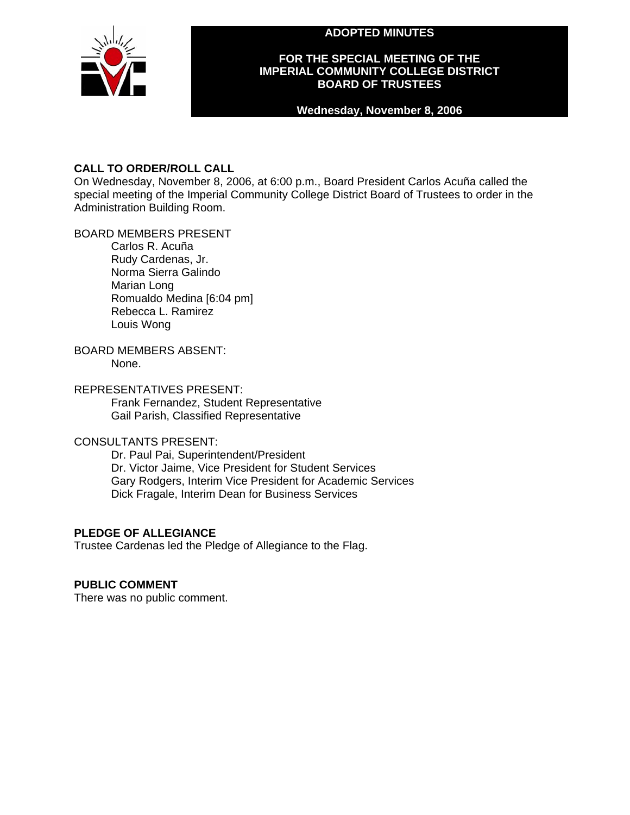**ADOPTED MINUTES** 



## **FOR THE SPECIAL MEETING OF THE IMPERIAL COMMUNITY COLLEGE DISTRICT BOARD OF TRUSTEES**

### **Wednesday, November 8, 2006**

# **CALL TO ORDER/ROLL CALL**

On Wednesday, November 8, 2006, at 6:00 p.m., Board President Carlos Acuña called the special meeting of the Imperial Community College District Board of Trustees to order in the Administration Building Room.

## BOARD MEMBERS PRESENT

Carlos R. Acuña Rudy Cardenas, Jr. Norma Sierra Galindo Marian Long Romualdo Medina [6:04 pm] Rebecca L. Ramirez Louis Wong

#### BOARD MEMBERS ABSENT: None.

## REPRESENTATIVES PRESENT:

Frank Fernandez, Student Representative Gail Parish, Classified Representative

# CONSULTANTS PRESENT:

Dr. Paul Pai, Superintendent/President Dr. Victor Jaime, Vice President for Student Services Gary Rodgers, Interim Vice President for Academic Services Dick Fragale, Interim Dean for Business Services

# **PLEDGE OF ALLEGIANCE**

Trustee Cardenas led the Pledge of Allegiance to the Flag.

## **PUBLIC COMMENT**

There was no public comment.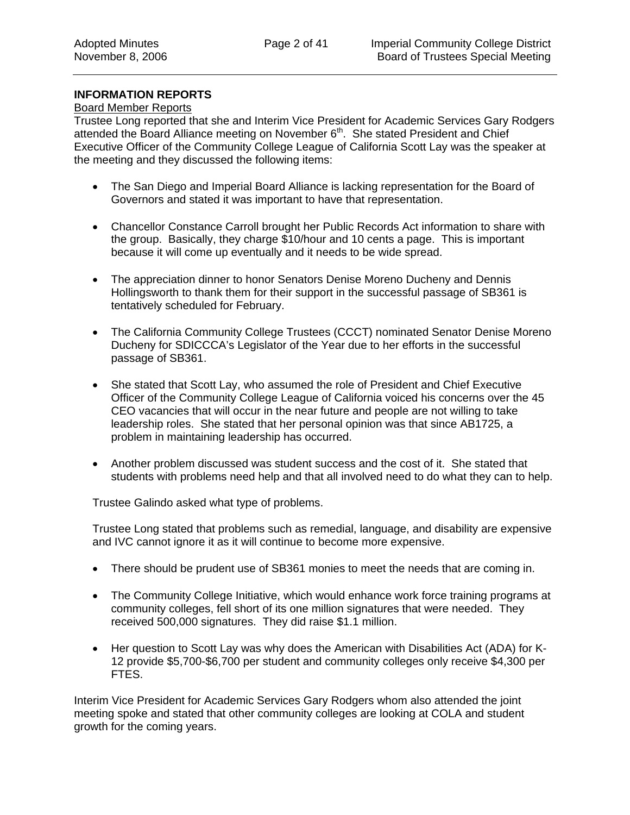### **INFORMATION REPORTS**

### Board Member Reports

Trustee Long reported that she and Interim Vice President for Academic Services Gary Rodgers attended the Board Alliance meeting on November  $6<sup>th</sup>$ . She stated President and Chief Executive Officer of the Community College League of California Scott Lay was the speaker at the meeting and they discussed the following items:

- The San Diego and Imperial Board Alliance is lacking representation for the Board of Governors and stated it was important to have that representation.
- Chancellor Constance Carroll brought her Public Records Act information to share with the group. Basically, they charge \$10/hour and 10 cents a page. This is important because it will come up eventually and it needs to be wide spread.
- The appreciation dinner to honor Senators Denise Moreno Ducheny and Dennis Hollingsworth to thank them for their support in the successful passage of SB361 is tentatively scheduled for February.
- The California Community College Trustees (CCCT) nominated Senator Denise Moreno Ducheny for SDICCCA's Legislator of the Year due to her efforts in the successful passage of SB361.
- She stated that Scott Lay, who assumed the role of President and Chief Executive Officer of the Community College League of California voiced his concerns over the 45 CEO vacancies that will occur in the near future and people are not willing to take leadership roles. She stated that her personal opinion was that since AB1725, a problem in maintaining leadership has occurred.
- Another problem discussed was student success and the cost of it. She stated that students with problems need help and that all involved need to do what they can to help.

Trustee Galindo asked what type of problems.

Trustee Long stated that problems such as remedial, language, and disability are expensive and IVC cannot ignore it as it will continue to become more expensive.

- There should be prudent use of SB361 monies to meet the needs that are coming in.
- The Community College Initiative, which would enhance work force training programs at community colleges, fell short of its one million signatures that were needed. They received 500,000 signatures. They did raise \$1.1 million.
- Her question to Scott Lay was why does the American with Disabilities Act (ADA) for K-12 provide \$5,700-\$6,700 per student and community colleges only receive \$4,300 per FTES.

Interim Vice President for Academic Services Gary Rodgers whom also attended the joint meeting spoke and stated that other community colleges are looking at COLA and student growth for the coming years.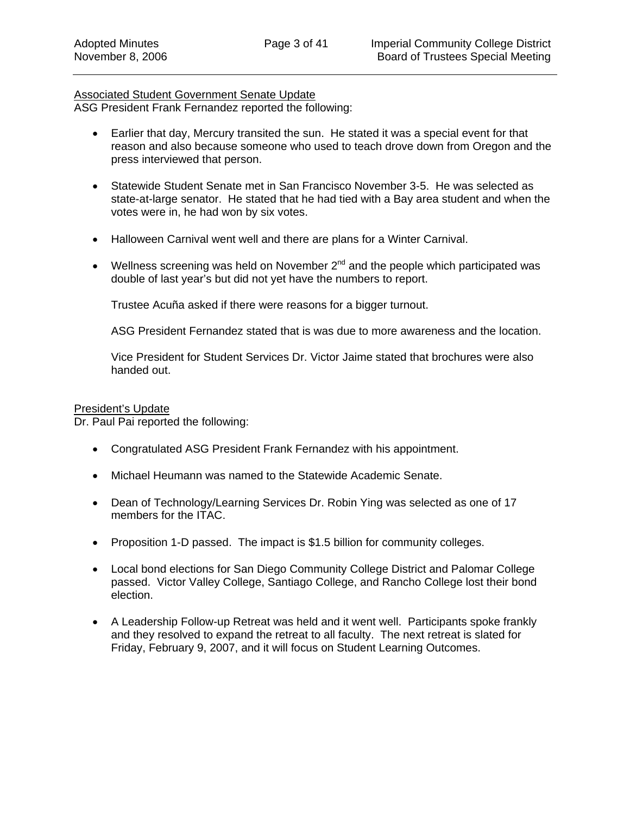### Associated Student Government Senate Update

ASG President Frank Fernandez reported the following:

- Earlier that day, Mercury transited the sun. He stated it was a special event for that reason and also because someone who used to teach drove down from Oregon and the press interviewed that person.
- Statewide Student Senate met in San Francisco November 3-5. He was selected as state-at-large senator. He stated that he had tied with a Bay area student and when the votes were in, he had won by six votes.
- Halloween Carnival went well and there are plans for a Winter Carnival.
- Wellness screening was held on November  $2^{nd}$  and the people which participated was double of last year's but did not yet have the numbers to report.

Trustee Acuña asked if there were reasons for a bigger turnout.

ASG President Fernandez stated that is was due to more awareness and the location.

Vice President for Student Services Dr. Victor Jaime stated that brochures were also handed out.

#### President's Update

Dr. Paul Pai reported the following:

- Congratulated ASG President Frank Fernandez with his appointment.
- Michael Heumann was named to the Statewide Academic Senate.
- Dean of Technology/Learning Services Dr. Robin Ying was selected as one of 17 members for the ITAC.
- Proposition 1-D passed. The impact is \$1.5 billion for community colleges.
- Local bond elections for San Diego Community College District and Palomar College passed. Victor Valley College, Santiago College, and Rancho College lost their bond election.
- A Leadership Follow-up Retreat was held and it went well. Participants spoke frankly and they resolved to expand the retreat to all faculty. The next retreat is slated for Friday, February 9, 2007, and it will focus on Student Learning Outcomes.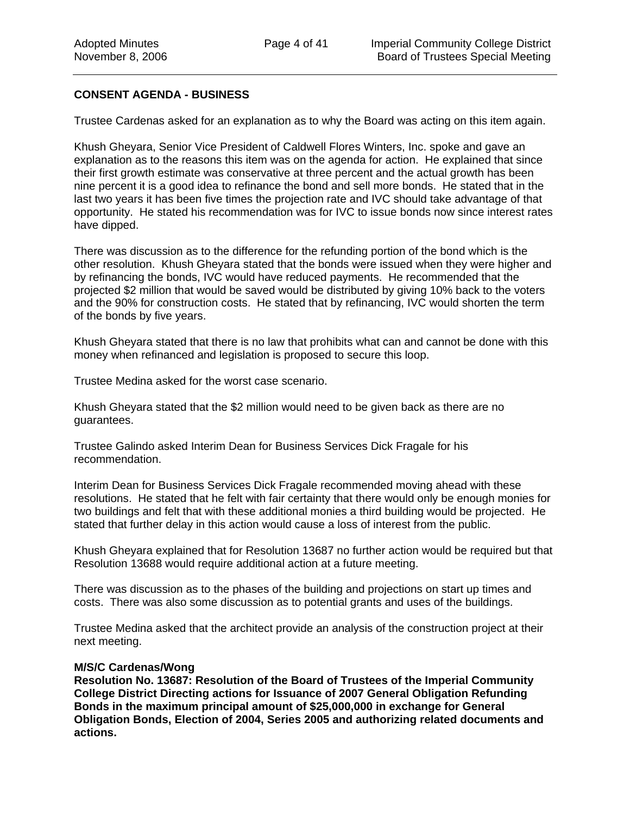### **CONSENT AGENDA - BUSINESS**

Trustee Cardenas asked for an explanation as to why the Board was acting on this item again.

Khush Gheyara, Senior Vice President of Caldwell Flores Winters, Inc. spoke and gave an explanation as to the reasons this item was on the agenda for action. He explained that since their first growth estimate was conservative at three percent and the actual growth has been nine percent it is a good idea to refinance the bond and sell more bonds. He stated that in the last two years it has been five times the projection rate and IVC should take advantage of that opportunity. He stated his recommendation was for IVC to issue bonds now since interest rates have dipped.

There was discussion as to the difference for the refunding portion of the bond which is the other resolution. Khush Gheyara stated that the bonds were issued when they were higher and by refinancing the bonds, IVC would have reduced payments. He recommended that the projected \$2 million that would be saved would be distributed by giving 10% back to the voters and the 90% for construction costs. He stated that by refinancing, IVC would shorten the term of the bonds by five years.

Khush Gheyara stated that there is no law that prohibits what can and cannot be done with this money when refinanced and legislation is proposed to secure this loop.

Trustee Medina asked for the worst case scenario.

Khush Gheyara stated that the \$2 million would need to be given back as there are no guarantees.

Trustee Galindo asked Interim Dean for Business Services Dick Fragale for his recommendation.

Interim Dean for Business Services Dick Fragale recommended moving ahead with these resolutions. He stated that he felt with fair certainty that there would only be enough monies for two buildings and felt that with these additional monies a third building would be projected. He stated that further delay in this action would cause a loss of interest from the public.

Khush Gheyara explained that for Resolution 13687 no further action would be required but that Resolution 13688 would require additional action at a future meeting.

There was discussion as to the phases of the building and projections on start up times and costs. There was also some discussion as to potential grants and uses of the buildings.

Trustee Medina asked that the architect provide an analysis of the construction project at their next meeting.

#### **M/S/C Cardenas/Wong**

**Resolution No. 13687: Resolution of the Board of Trustees of the Imperial Community College District Directing actions for Issuance of 2007 General Obligation Refunding Bonds in the maximum principal amount of \$25,000,000 in exchange for General Obligation Bonds, Election of 2004, Series 2005 and authorizing related documents and actions.**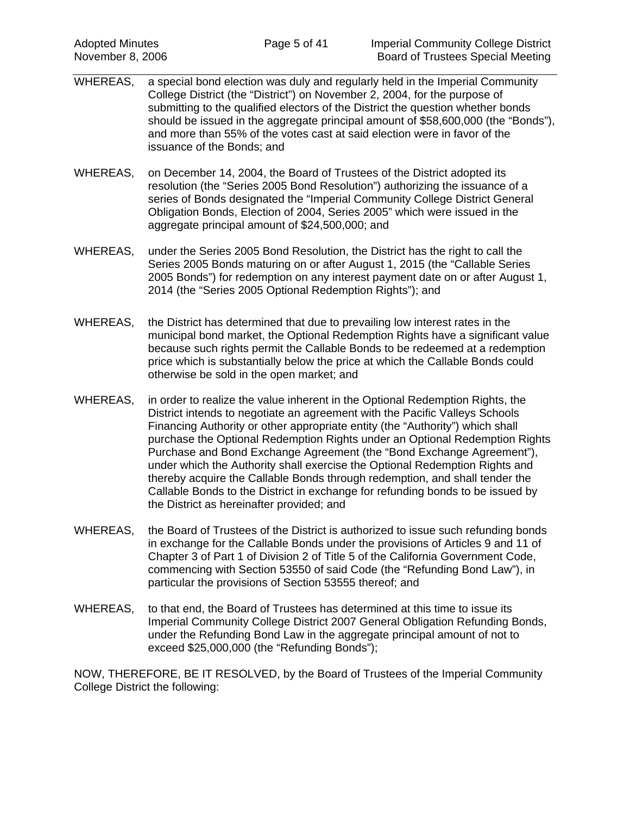- WHEREAS, a special bond election was duly and regularly held in the Imperial Community College District (the "District") on November 2, 2004, for the purpose of submitting to the qualified electors of the District the question whether bonds should be issued in the aggregate principal amount of \$58,600,000 (the "Bonds"), and more than 55% of the votes cast at said election were in favor of the issuance of the Bonds; and
- WHEREAS, on December 14, 2004, the Board of Trustees of the District adopted its resolution (the "Series 2005 Bond Resolution") authorizing the issuance of a series of Bonds designated the "Imperial Community College District General Obligation Bonds, Election of 2004, Series 2005" which were issued in the aggregate principal amount of \$24,500,000; and
- WHEREAS, under the Series 2005 Bond Resolution, the District has the right to call the Series 2005 Bonds maturing on or after August 1, 2015 (the "Callable Series 2005 Bonds") for redemption on any interest payment date on or after August 1, 2014 (the "Series 2005 Optional Redemption Rights"); and
- WHEREAS, the District has determined that due to prevailing low interest rates in the municipal bond market, the Optional Redemption Rights have a significant value because such rights permit the Callable Bonds to be redeemed at a redemption price which is substantially below the price at which the Callable Bonds could otherwise be sold in the open market; and
- WHEREAS, in order to realize the value inherent in the Optional Redemption Rights, the District intends to negotiate an agreement with the Pacific Valleys Schools Financing Authority or other appropriate entity (the "Authority") which shall purchase the Optional Redemption Rights under an Optional Redemption Rights Purchase and Bond Exchange Agreement (the "Bond Exchange Agreement"), under which the Authority shall exercise the Optional Redemption Rights and thereby acquire the Callable Bonds through redemption, and shall tender the Callable Bonds to the District in exchange for refunding bonds to be issued by the District as hereinafter provided; and
- WHEREAS, the Board of Trustees of the District is authorized to issue such refunding bonds in exchange for the Callable Bonds under the provisions of Articles 9 and 11 of Chapter 3 of Part 1 of Division 2 of Title 5 of the California Government Code, commencing with Section 53550 of said Code (the "Refunding Bond Law"), in particular the provisions of Section 53555 thereof; and
- WHEREAS, to that end, the Board of Trustees has determined at this time to issue its Imperial Community College District 2007 General Obligation Refunding Bonds, under the Refunding Bond Law in the aggregate principal amount of not to exceed \$25,000,000 (the "Refunding Bonds");

NOW, THEREFORE, BE IT RESOLVED, by the Board of Trustees of the Imperial Community College District the following: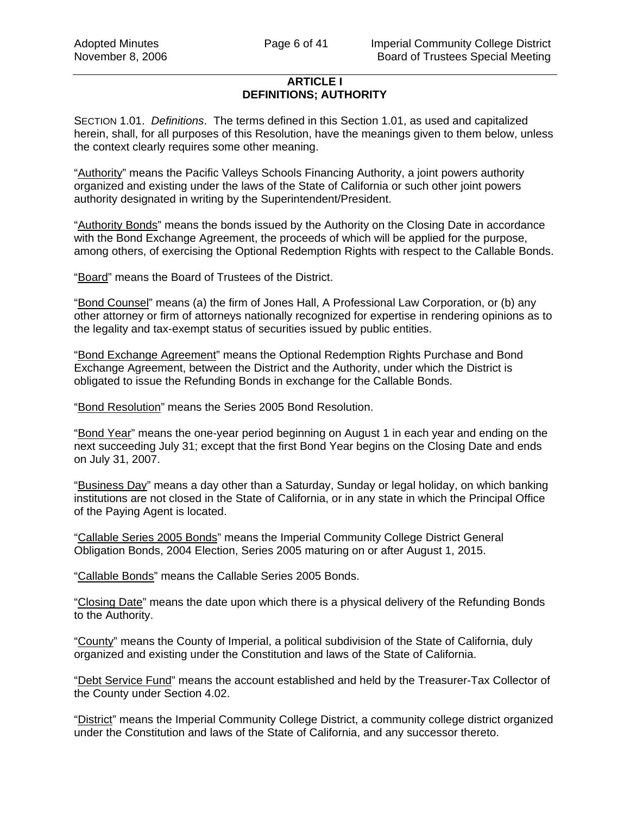## **ARTICLE I DEFINITIONS; AUTHORITY**

SECTION 1.01. *Definitions*. The terms defined in this Section 1.01, as used and capitalized herein, shall, for all purposes of this Resolution, have the meanings given to them below, unless the context clearly requires some other meaning.

"Authority" means the Pacific Valleys Schools Financing Authority, a joint powers authority organized and existing under the laws of the State of California or such other joint powers authority designated in writing by the Superintendent/President.

"Authority Bonds" means the bonds issued by the Authority on the Closing Date in accordance with the Bond Exchange Agreement, the proceeds of which will be applied for the purpose, among others, of exercising the Optional Redemption Rights with respect to the Callable Bonds.

"Board" means the Board of Trustees of the District.

"Bond Counsel" means (a) the firm of Jones Hall, A Professional Law Corporation, or (b) any other attorney or firm of attorneys nationally recognized for expertise in rendering opinions as to the legality and tax-exempt status of securities issued by public entities.

"Bond Exchange Agreement" means the Optional Redemption Rights Purchase and Bond Exchange Agreement, between the District and the Authority, under which the District is obligated to issue the Refunding Bonds in exchange for the Callable Bonds.

"Bond Resolution" means the Series 2005 Bond Resolution.

"Bond Year" means the one-year period beginning on August 1 in each year and ending on the next succeeding July 31; except that the first Bond Year begins on the Closing Date and ends on July 31, 2007.

"Business Day" means a day other than a Saturday, Sunday or legal holiday, on which banking institutions are not closed in the State of California, or in any state in which the Principal Office of the Paying Agent is located.

"Callable Series 2005 Bonds" means the Imperial Community College District General Obligation Bonds, 2004 Election, Series 2005 maturing on or after August 1, 2015.

"Callable Bonds" means the Callable Series 2005 Bonds.

"Closing Date" means the date upon which there is a physical delivery of the Refunding Bonds to the Authority.

"County" means the County of Imperial, a political subdivision of the State of California, duly organized and existing under the Constitution and laws of the State of California.

"Debt Service Fund" means the account established and held by the Treasurer-Tax Collector of the County under Section 4.02.

"District" means the Imperial Community College District, a community college district organized under the Constitution and laws of the State of California, and any successor thereto.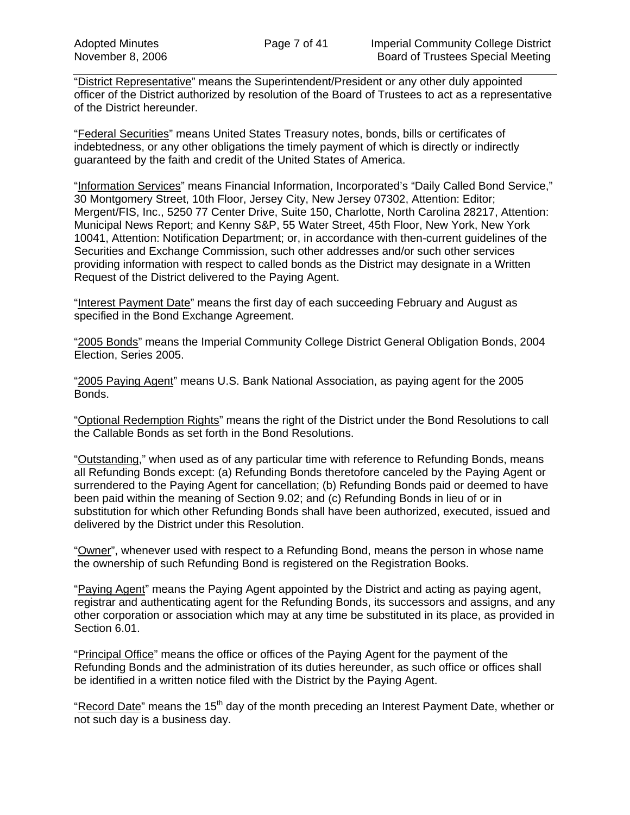"District Representative" means the Superintendent/President or any other duly appointed officer of the District authorized by resolution of the Board of Trustees to act as a representative of the District hereunder.

"Federal Securities" means United States Treasury notes, bonds, bills or certificates of indebtedness, or any other obligations the timely payment of which is directly or indirectly guaranteed by the faith and credit of the United States of America.

"Information Services" means Financial Information, Incorporated's "Daily Called Bond Service," 30 Montgomery Street, 10th Floor, Jersey City, New Jersey 07302, Attention: Editor; Mergent/FIS, Inc., 5250 77 Center Drive, Suite 150, Charlotte, North Carolina 28217, Attention: Municipal News Report; and Kenny S&P, 55 Water Street, 45th Floor, New York, New York 10041, Attention: Notification Department; or, in accordance with then-current guidelines of the Securities and Exchange Commission, such other addresses and/or such other services providing information with respect to called bonds as the District may designate in a Written Request of the District delivered to the Paying Agent.

"Interest Payment Date" means the first day of each succeeding February and August as specified in the Bond Exchange Agreement.

"2005 Bonds" means the Imperial Community College District General Obligation Bonds, 2004 Election, Series 2005.

"2005 Paying Agent" means U.S. Bank National Association, as paying agent for the 2005 Bonds.

"Optional Redemption Rights" means the right of the District under the Bond Resolutions to call the Callable Bonds as set forth in the Bond Resolutions.

"Outstanding," when used as of any particular time with reference to Refunding Bonds, means all Refunding Bonds except: (a) Refunding Bonds theretofore canceled by the Paying Agent or surrendered to the Paying Agent for cancellation; (b) Refunding Bonds paid or deemed to have been paid within the meaning of Section 9.02; and (c) Refunding Bonds in lieu of or in substitution for which other Refunding Bonds shall have been authorized, executed, issued and delivered by the District under this Resolution.

"Owner", whenever used with respect to a Refunding Bond, means the person in whose name the ownership of such Refunding Bond is registered on the Registration Books.

"Paying Agent" means the Paying Agent appointed by the District and acting as paying agent, registrar and authenticating agent for the Refunding Bonds, its successors and assigns, and any other corporation or association which may at any time be substituted in its place, as provided in Section 6.01.

"Principal Office" means the office or offices of the Paying Agent for the payment of the Refunding Bonds and the administration of its duties hereunder, as such office or offices shall be identified in a written notice filed with the District by the Paying Agent.

"Record Date" means the 15<sup>th</sup> day of the month preceding an Interest Payment Date, whether or not such day is a business day.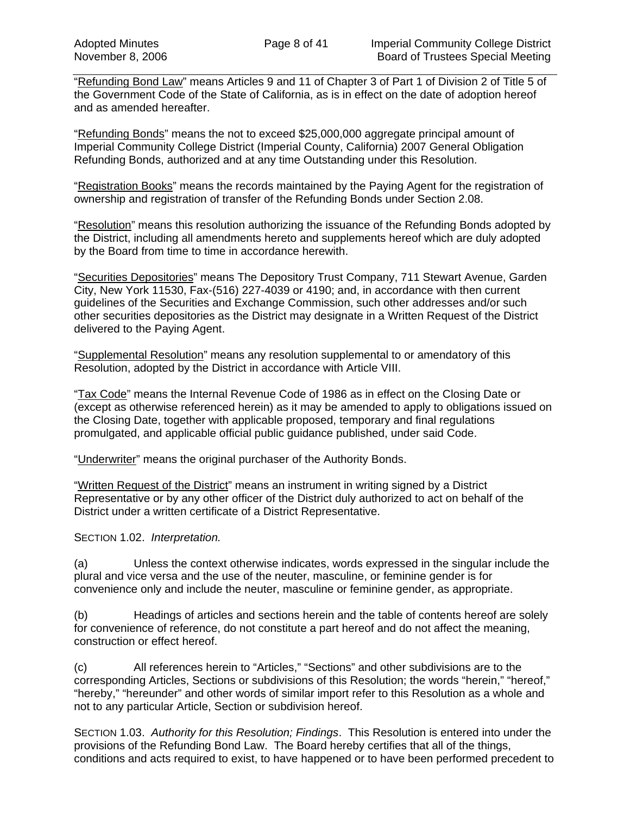"Refunding Bond Law" means Articles 9 and 11 of Chapter 3 of Part 1 of Division 2 of Title 5 of the Government Code of the State of California, as is in effect on the date of adoption hereof and as amended hereafter.

"Refunding Bonds" means the not to exceed \$25,000,000 aggregate principal amount of Imperial Community College District (Imperial County, California) 2007 General Obligation Refunding Bonds, authorized and at any time Outstanding under this Resolution.

"Registration Books" means the records maintained by the Paying Agent for the registration of ownership and registration of transfer of the Refunding Bonds under Section 2.08.

"Resolution" means this resolution authorizing the issuance of the Refunding Bonds adopted by the District, including all amendments hereto and supplements hereof which are duly adopted by the Board from time to time in accordance herewith.

"Securities Depositories" means The Depository Trust Company, 711 Stewart Avenue, Garden City, New York 11530, Fax-(516) 227-4039 or 4190; and, in accordance with then current guidelines of the Securities and Exchange Commission, such other addresses and/or such other securities depositories as the District may designate in a Written Request of the District delivered to the Paying Agent.

"Supplemental Resolution" means any resolution supplemental to or amendatory of this Resolution, adopted by the District in accordance with Article VIII.

"Tax Code" means the Internal Revenue Code of 1986 as in effect on the Closing Date or (except as otherwise referenced herein) as it may be amended to apply to obligations issued on the Closing Date, together with applicable proposed, temporary and final regulations promulgated, and applicable official public guidance published, under said Code.

"Underwriter" means the original purchaser of the Authority Bonds.

"Written Request of the District" means an instrument in writing signed by a District Representative or by any other officer of the District duly authorized to act on behalf of the District under a written certificate of a District Representative.

SECTION 1.02. *Interpretation.* 

(a) Unless the context otherwise indicates, words expressed in the singular include the plural and vice versa and the use of the neuter, masculine, or feminine gender is for convenience only and include the neuter, masculine or feminine gender, as appropriate.

(b) Headings of articles and sections herein and the table of contents hereof are solely for convenience of reference, do not constitute a part hereof and do not affect the meaning, construction or effect hereof.

(c) All references herein to "Articles," "Sections" and other subdivisions are to the corresponding Articles, Sections or subdivisions of this Resolution; the words "herein," "hereof," "hereby," "hereunder" and other words of similar import refer to this Resolution as a whole and not to any particular Article, Section or subdivision hereof.

SECTION 1.03. *Authority for this Resolution; Findings*. This Resolution is entered into under the provisions of the Refunding Bond Law. The Board hereby certifies that all of the things, conditions and acts required to exist, to have happened or to have been performed precedent to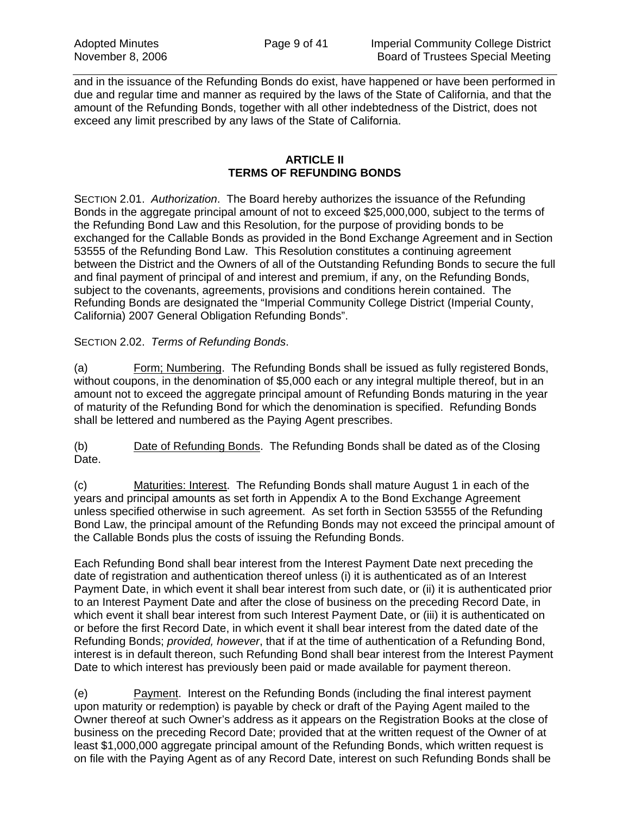and in the issuance of the Refunding Bonds do exist, have happened or have been performed in due and regular time and manner as required by the laws of the State of California, and that the amount of the Refunding Bonds, together with all other indebtedness of the District, does not exceed any limit prescribed by any laws of the State of California.

#### **ARTICLE II TERMS OF REFUNDING BONDS**

SECTION 2.01. *Authorization*. The Board hereby authorizes the issuance of the Refunding Bonds in the aggregate principal amount of not to exceed \$25,000,000, subject to the terms of the Refunding Bond Law and this Resolution, for the purpose of providing bonds to be exchanged for the Callable Bonds as provided in the Bond Exchange Agreement and in Section 53555 of the Refunding Bond Law. This Resolution constitutes a continuing agreement between the District and the Owners of all of the Outstanding Refunding Bonds to secure the full and final payment of principal of and interest and premium, if any, on the Refunding Bonds, subject to the covenants, agreements, provisions and conditions herein contained. The Refunding Bonds are designated the "Imperial Community College District (Imperial County, California) 2007 General Obligation Refunding Bonds".

## SECTION 2.02. *Terms of Refunding Bonds*.

(a) Form; Numbering. The Refunding Bonds shall be issued as fully registered Bonds, without coupons, in the denomination of \$5,000 each or any integral multiple thereof, but in an amount not to exceed the aggregate principal amount of Refunding Bonds maturing in the year of maturity of the Refunding Bond for which the denomination is specified. Refunding Bonds shall be lettered and numbered as the Paying Agent prescribes.

(b) Date of Refunding Bonds. The Refunding Bonds shall be dated as of the Closing Date.

(c) Maturities: Interest. The Refunding Bonds shall mature August 1 in each of the years and principal amounts as set forth in Appendix A to the Bond Exchange Agreement unless specified otherwise in such agreement. As set forth in Section 53555 of the Refunding Bond Law, the principal amount of the Refunding Bonds may not exceed the principal amount of the Callable Bonds plus the costs of issuing the Refunding Bonds.

Each Refunding Bond shall bear interest from the Interest Payment Date next preceding the date of registration and authentication thereof unless (i) it is authenticated as of an Interest Payment Date, in which event it shall bear interest from such date, or (ii) it is authenticated prior to an Interest Payment Date and after the close of business on the preceding Record Date, in which event it shall bear interest from such Interest Payment Date, or (iii) it is authenticated on or before the first Record Date, in which event it shall bear interest from the dated date of the Refunding Bonds; *provided, however*, that if at the time of authentication of a Refunding Bond, interest is in default thereon, such Refunding Bond shall bear interest from the Interest Payment Date to which interest has previously been paid or made available for payment thereon.

(e) Payment. Interest on the Refunding Bonds (including the final interest payment upon maturity or redemption) is payable by check or draft of the Paying Agent mailed to the Owner thereof at such Owner's address as it appears on the Registration Books at the close of business on the preceding Record Date; provided that at the written request of the Owner of at least \$1,000,000 aggregate principal amount of the Refunding Bonds, which written request is on file with the Paying Agent as of any Record Date, interest on such Refunding Bonds shall be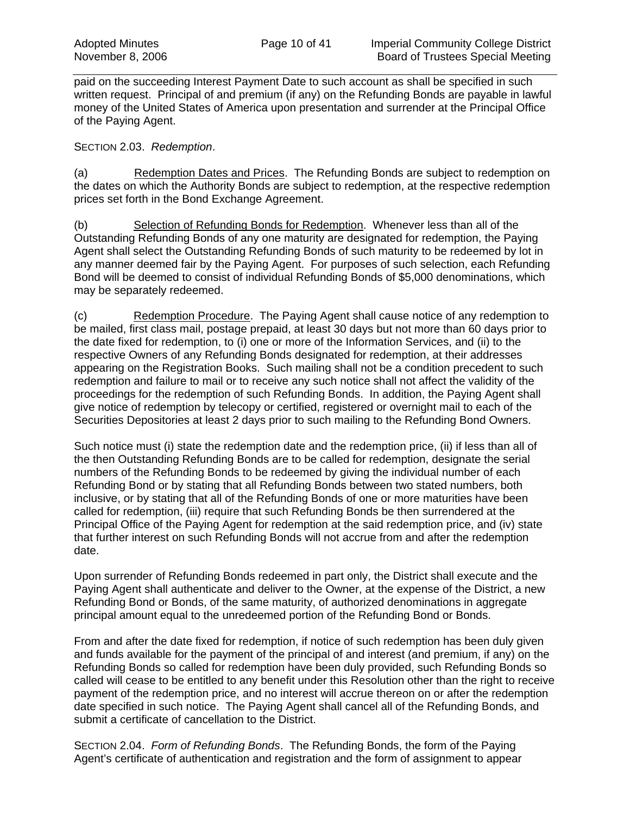paid on the succeeding Interest Payment Date to such account as shall be specified in such written request. Principal of and premium (if any) on the Refunding Bonds are payable in lawful money of the United States of America upon presentation and surrender at the Principal Office of the Paying Agent.

#### SECTION 2.03. *Redemption*.

(a) Redemption Dates and Prices. The Refunding Bonds are subject to redemption on the dates on which the Authority Bonds are subject to redemption, at the respective redemption prices set forth in the Bond Exchange Agreement.

(b) Selection of Refunding Bonds for Redemption. Whenever less than all of the Outstanding Refunding Bonds of any one maturity are designated for redemption, the Paying Agent shall select the Outstanding Refunding Bonds of such maturity to be redeemed by lot in any manner deemed fair by the Paying Agent. For purposes of such selection, each Refunding Bond will be deemed to consist of individual Refunding Bonds of \$5,000 denominations, which may be separately redeemed.

(c) Redemption Procedure. The Paying Agent shall cause notice of any redemption to be mailed, first class mail, postage prepaid, at least 30 days but not more than 60 days prior to the date fixed for redemption, to (i) one or more of the Information Services, and (ii) to the respective Owners of any Refunding Bonds designated for redemption, at their addresses appearing on the Registration Books. Such mailing shall not be a condition precedent to such redemption and failure to mail or to receive any such notice shall not affect the validity of the proceedings for the redemption of such Refunding Bonds. In addition, the Paying Agent shall give notice of redemption by telecopy or certified, registered or overnight mail to each of the Securities Depositories at least 2 days prior to such mailing to the Refunding Bond Owners.

Such notice must (i) state the redemption date and the redemption price, (ii) if less than all of the then Outstanding Refunding Bonds are to be called for redemption, designate the serial numbers of the Refunding Bonds to be redeemed by giving the individual number of each Refunding Bond or by stating that all Refunding Bonds between two stated numbers, both inclusive, or by stating that all of the Refunding Bonds of one or more maturities have been called for redemption, (iii) require that such Refunding Bonds be then surrendered at the Principal Office of the Paying Agent for redemption at the said redemption price, and (iv) state that further interest on such Refunding Bonds will not accrue from and after the redemption date.

Upon surrender of Refunding Bonds redeemed in part only, the District shall execute and the Paying Agent shall authenticate and deliver to the Owner, at the expense of the District, a new Refunding Bond or Bonds, of the same maturity, of authorized denominations in aggregate principal amount equal to the unredeemed portion of the Refunding Bond or Bonds.

From and after the date fixed for redemption, if notice of such redemption has been duly given and funds available for the payment of the principal of and interest (and premium, if any) on the Refunding Bonds so called for redemption have been duly provided, such Refunding Bonds so called will cease to be entitled to any benefit under this Resolution other than the right to receive payment of the redemption price, and no interest will accrue thereon on or after the redemption date specified in such notice. The Paying Agent shall cancel all of the Refunding Bonds, and submit a certificate of cancellation to the District.

SECTION 2.04. *Form of Refunding Bonds*. The Refunding Bonds, the form of the Paying Agent's certificate of authentication and registration and the form of assignment to appear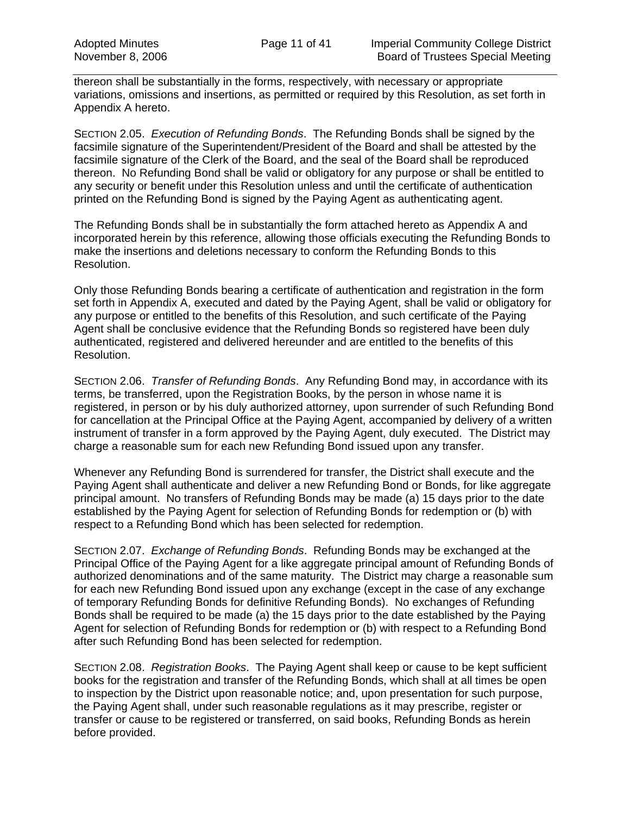thereon shall be substantially in the forms, respectively, with necessary or appropriate variations, omissions and insertions, as permitted or required by this Resolution, as set forth in Appendix A hereto.

SECTION 2.05. *Execution of Refunding Bonds*. The Refunding Bonds shall be signed by the facsimile signature of the Superintendent/President of the Board and shall be attested by the facsimile signature of the Clerk of the Board, and the seal of the Board shall be reproduced thereon. No Refunding Bond shall be valid or obligatory for any purpose or shall be entitled to any security or benefit under this Resolution unless and until the certificate of authentication printed on the Refunding Bond is signed by the Paying Agent as authenticating agent.

The Refunding Bonds shall be in substantially the form attached hereto as Appendix A and incorporated herein by this reference, allowing those officials executing the Refunding Bonds to make the insertions and deletions necessary to conform the Refunding Bonds to this Resolution.

Only those Refunding Bonds bearing a certificate of authentication and registration in the form set forth in Appendix A, executed and dated by the Paying Agent, shall be valid or obligatory for any purpose or entitled to the benefits of this Resolution, and such certificate of the Paying Agent shall be conclusive evidence that the Refunding Bonds so registered have been duly authenticated, registered and delivered hereunder and are entitled to the benefits of this Resolution.

SECTION 2.06. *Transfer of Refunding Bonds*. Any Refunding Bond may, in accordance with its terms, be transferred, upon the Registration Books, by the person in whose name it is registered, in person or by his duly authorized attorney, upon surrender of such Refunding Bond for cancellation at the Principal Office at the Paying Agent, accompanied by delivery of a written instrument of transfer in a form approved by the Paying Agent, duly executed. The District may charge a reasonable sum for each new Refunding Bond issued upon any transfer.

Whenever any Refunding Bond is surrendered for transfer, the District shall execute and the Paying Agent shall authenticate and deliver a new Refunding Bond or Bonds, for like aggregate principal amount. No transfers of Refunding Bonds may be made (a) 15 days prior to the date established by the Paying Agent for selection of Refunding Bonds for redemption or (b) with respect to a Refunding Bond which has been selected for redemption.

SECTION 2.07. *Exchange of Refunding Bonds*. Refunding Bonds may be exchanged at the Principal Office of the Paying Agent for a like aggregate principal amount of Refunding Bonds of authorized denominations and of the same maturity. The District may charge a reasonable sum for each new Refunding Bond issued upon any exchange (except in the case of any exchange of temporary Refunding Bonds for definitive Refunding Bonds). No exchanges of Refunding Bonds shall be required to be made (a) the 15 days prior to the date established by the Paying Agent for selection of Refunding Bonds for redemption or (b) with respect to a Refunding Bond after such Refunding Bond has been selected for redemption.

SECTION 2.08. *Registration Books*. The Paying Agent shall keep or cause to be kept sufficient books for the registration and transfer of the Refunding Bonds, which shall at all times be open to inspection by the District upon reasonable notice; and, upon presentation for such purpose, the Paying Agent shall, under such reasonable regulations as it may prescribe, register or transfer or cause to be registered or transferred, on said books, Refunding Bonds as herein before provided.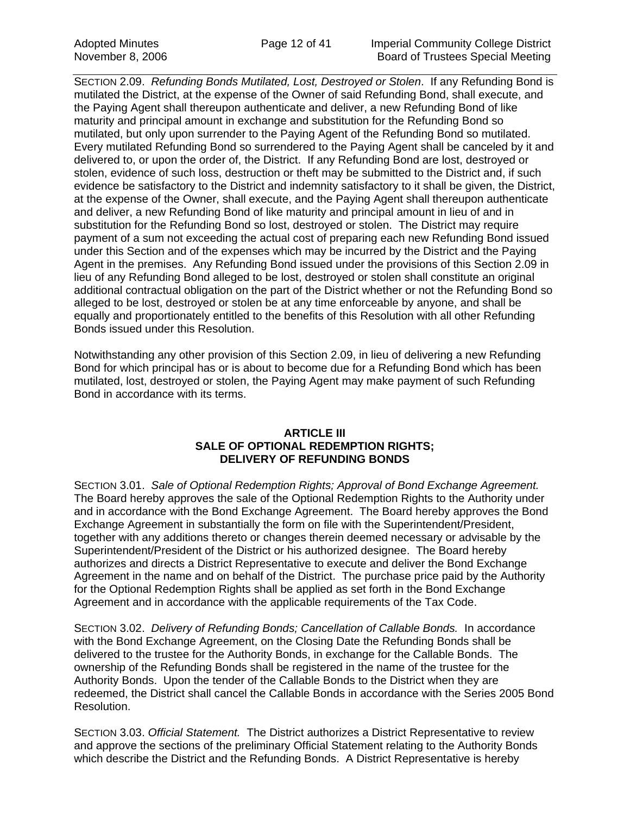SECTION 2.09. *Refunding Bonds Mutilated, Lost, Destroyed or Stolen*. If any Refunding Bond is mutilated the District, at the expense of the Owner of said Refunding Bond, shall execute, and the Paying Agent shall thereupon authenticate and deliver, a new Refunding Bond of like maturity and principal amount in exchange and substitution for the Refunding Bond so mutilated, but only upon surrender to the Paying Agent of the Refunding Bond so mutilated. Every mutilated Refunding Bond so surrendered to the Paying Agent shall be canceled by it and delivered to, or upon the order of, the District. If any Refunding Bond are lost, destroyed or stolen, evidence of such loss, destruction or theft may be submitted to the District and, if such evidence be satisfactory to the District and indemnity satisfactory to it shall be given, the District, at the expense of the Owner, shall execute, and the Paying Agent shall thereupon authenticate and deliver, a new Refunding Bond of like maturity and principal amount in lieu of and in substitution for the Refunding Bond so lost, destroyed or stolen. The District may require payment of a sum not exceeding the actual cost of preparing each new Refunding Bond issued under this Section and of the expenses which may be incurred by the District and the Paying Agent in the premises. Any Refunding Bond issued under the provisions of this Section 2.09 in lieu of any Refunding Bond alleged to be lost, destroyed or stolen shall constitute an original additional contractual obligation on the part of the District whether or not the Refunding Bond so alleged to be lost, destroyed or stolen be at any time enforceable by anyone, and shall be equally and proportionately entitled to the benefits of this Resolution with all other Refunding Bonds issued under this Resolution.

Notwithstanding any other provision of this Section 2.09, in lieu of delivering a new Refunding Bond for which principal has or is about to become due for a Refunding Bond which has been mutilated, lost, destroyed or stolen, the Paying Agent may make payment of such Refunding Bond in accordance with its terms.

### **ARTICLE III SALE OF OPTIONAL REDEMPTION RIGHTS; DELIVERY OF REFUNDING BONDS**

SECTION 3.01. *Sale of Optional Redemption Rights; Approval of Bond Exchange Agreement.* The Board hereby approves the sale of the Optional Redemption Rights to the Authority under and in accordance with the Bond Exchange Agreement. The Board hereby approves the Bond Exchange Agreement in substantially the form on file with the Superintendent/President, together with any additions thereto or changes therein deemed necessary or advisable by the Superintendent/President of the District or his authorized designee. The Board hereby authorizes and directs a District Representative to execute and deliver the Bond Exchange Agreement in the name and on behalf of the District. The purchase price paid by the Authority for the Optional Redemption Rights shall be applied as set forth in the Bond Exchange Agreement and in accordance with the applicable requirements of the Tax Code.

SECTION 3.02. *Delivery of Refunding Bonds; Cancellation of Callable Bonds.* In accordance with the Bond Exchange Agreement, on the Closing Date the Refunding Bonds shall be delivered to the trustee for the Authority Bonds, in exchange for the Callable Bonds. The ownership of the Refunding Bonds shall be registered in the name of the trustee for the Authority Bonds. Upon the tender of the Callable Bonds to the District when they are redeemed, the District shall cancel the Callable Bonds in accordance with the Series 2005 Bond Resolution.

SECTION 3.03. *Official Statement.* The District authorizes a District Representative to review and approve the sections of the preliminary Official Statement relating to the Authority Bonds which describe the District and the Refunding Bonds. A District Representative is hereby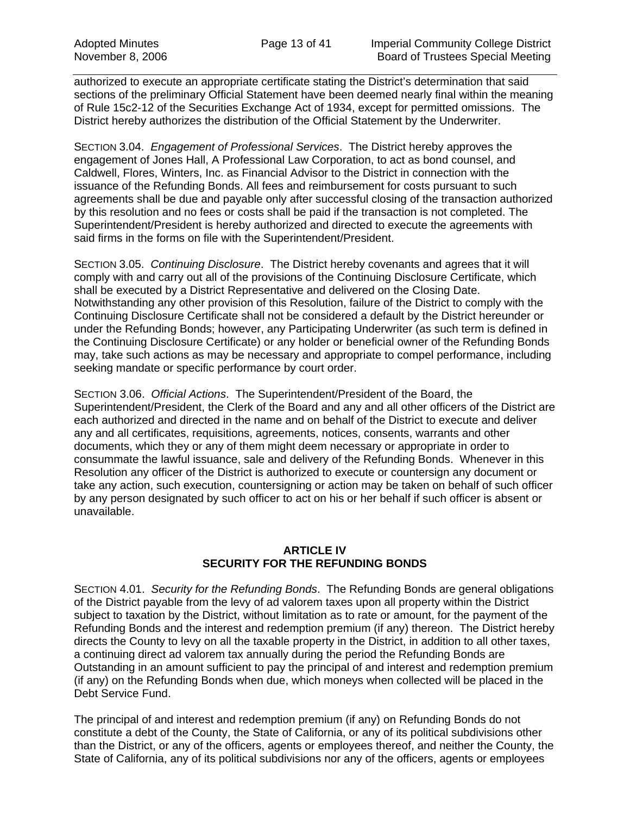authorized to execute an appropriate certificate stating the District's determination that said sections of the preliminary Official Statement have been deemed nearly final within the meaning of Rule 15c2-12 of the Securities Exchange Act of 1934, except for permitted omissions. The District hereby authorizes the distribution of the Official Statement by the Underwriter.

SECTION 3.04. *Engagement of Professional Services*. The District hereby approves the engagement of Jones Hall, A Professional Law Corporation, to act as bond counsel, and Caldwell, Flores, Winters, Inc. as Financial Advisor to the District in connection with the issuance of the Refunding Bonds. All fees and reimbursement for costs pursuant to such agreements shall be due and payable only after successful closing of the transaction authorized by this resolution and no fees or costs shall be paid if the transaction is not completed. The Superintendent/President is hereby authorized and directed to execute the agreements with said firms in the forms on file with the Superintendent/President.

SECTION 3.05. *Continuing Disclosure*. The District hereby covenants and agrees that it will comply with and carry out all of the provisions of the Continuing Disclosure Certificate, which shall be executed by a District Representative and delivered on the Closing Date. Notwithstanding any other provision of this Resolution, failure of the District to comply with the Continuing Disclosure Certificate shall not be considered a default by the District hereunder or under the Refunding Bonds; however, any Participating Underwriter (as such term is defined in the Continuing Disclosure Certificate) or any holder or beneficial owner of the Refunding Bonds may, take such actions as may be necessary and appropriate to compel performance, including seeking mandate or specific performance by court order.

SECTION 3.06. *Official Actions*. The Superintendent/President of the Board, the Superintendent/President, the Clerk of the Board and any and all other officers of the District are each authorized and directed in the name and on behalf of the District to execute and deliver any and all certificates, requisitions, agreements, notices, consents, warrants and other documents, which they or any of them might deem necessary or appropriate in order to consummate the lawful issuance, sale and delivery of the Refunding Bonds. Whenever in this Resolution any officer of the District is authorized to execute or countersign any document or take any action, such execution, countersigning or action may be taken on behalf of such officer by any person designated by such officer to act on his or her behalf if such officer is absent or unavailable.

### **ARTICLE IV SECURITY FOR THE REFUNDING BONDS**

SECTION 4.01. *Security for the Refunding Bonds*. The Refunding Bonds are general obligations of the District payable from the levy of ad valorem taxes upon all property within the District subject to taxation by the District, without limitation as to rate or amount, for the payment of the Refunding Bonds and the interest and redemption premium (if any) thereon. The District hereby directs the County to levy on all the taxable property in the District, in addition to all other taxes, a continuing direct ad valorem tax annually during the period the Refunding Bonds are Outstanding in an amount sufficient to pay the principal of and interest and redemption premium (if any) on the Refunding Bonds when due, which moneys when collected will be placed in the Debt Service Fund.

The principal of and interest and redemption premium (if any) on Refunding Bonds do not constitute a debt of the County, the State of California, or any of its political subdivisions other than the District, or any of the officers, agents or employees thereof, and neither the County, the State of California, any of its political subdivisions nor any of the officers, agents or employees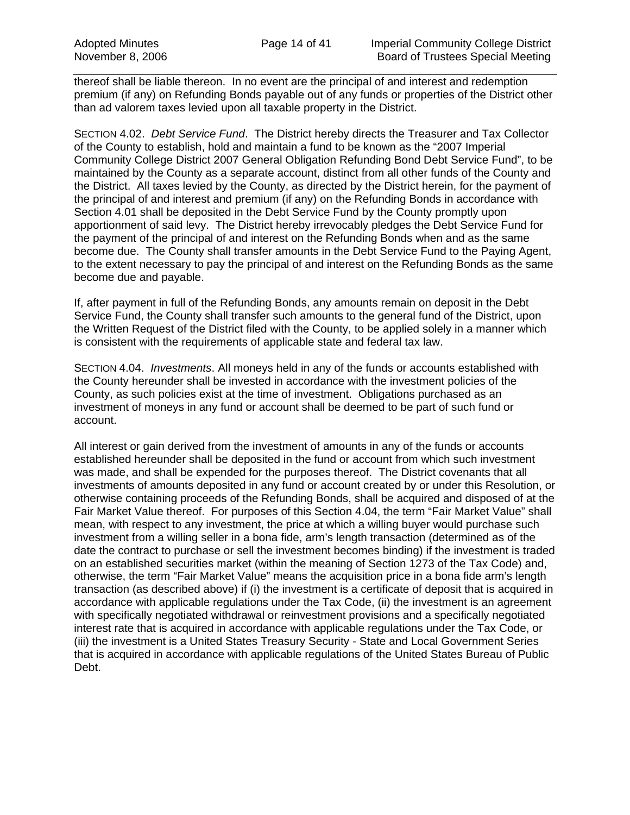thereof shall be liable thereon. In no event are the principal of and interest and redemption premium (if any) on Refunding Bonds payable out of any funds or properties of the District other than ad valorem taxes levied upon all taxable property in the District.

SECTION 4.02. *Debt Service Fund*. The District hereby directs the Treasurer and Tax Collector of the County to establish, hold and maintain a fund to be known as the "2007 Imperial Community College District 2007 General Obligation Refunding Bond Debt Service Fund", to be maintained by the County as a separate account, distinct from all other funds of the County and the District. All taxes levied by the County, as directed by the District herein, for the payment of the principal of and interest and premium (if any) on the Refunding Bonds in accordance with Section 4.01 shall be deposited in the Debt Service Fund by the County promptly upon apportionment of said levy. The District hereby irrevocably pledges the Debt Service Fund for the payment of the principal of and interest on the Refunding Bonds when and as the same become due. The County shall transfer amounts in the Debt Service Fund to the Paying Agent, to the extent necessary to pay the principal of and interest on the Refunding Bonds as the same become due and payable.

If, after payment in full of the Refunding Bonds, any amounts remain on deposit in the Debt Service Fund, the County shall transfer such amounts to the general fund of the District, upon the Written Request of the District filed with the County, to be applied solely in a manner which is consistent with the requirements of applicable state and federal tax law.

SECTION 4.04. *Investments*. All moneys held in any of the funds or accounts established with the County hereunder shall be invested in accordance with the investment policies of the County, as such policies exist at the time of investment. Obligations purchased as an investment of moneys in any fund or account shall be deemed to be part of such fund or account.

All interest or gain derived from the investment of amounts in any of the funds or accounts established hereunder shall be deposited in the fund or account from which such investment was made, and shall be expended for the purposes thereof. The District covenants that all investments of amounts deposited in any fund or account created by or under this Resolution, or otherwise containing proceeds of the Refunding Bonds, shall be acquired and disposed of at the Fair Market Value thereof. For purposes of this Section 4.04, the term "Fair Market Value" shall mean, with respect to any investment, the price at which a willing buyer would purchase such investment from a willing seller in a bona fide, arm's length transaction (determined as of the date the contract to purchase or sell the investment becomes binding) if the investment is traded on an established securities market (within the meaning of Section 1273 of the Tax Code) and, otherwise, the term "Fair Market Value" means the acquisition price in a bona fide arm's length transaction (as described above) if (i) the investment is a certificate of deposit that is acquired in accordance with applicable regulations under the Tax Code, (ii) the investment is an agreement with specifically negotiated withdrawal or reinvestment provisions and a specifically negotiated interest rate that is acquired in accordance with applicable regulations under the Tax Code, or (iii) the investment is a United States Treasury Security - State and Local Government Series that is acquired in accordance with applicable regulations of the United States Bureau of Public Debt.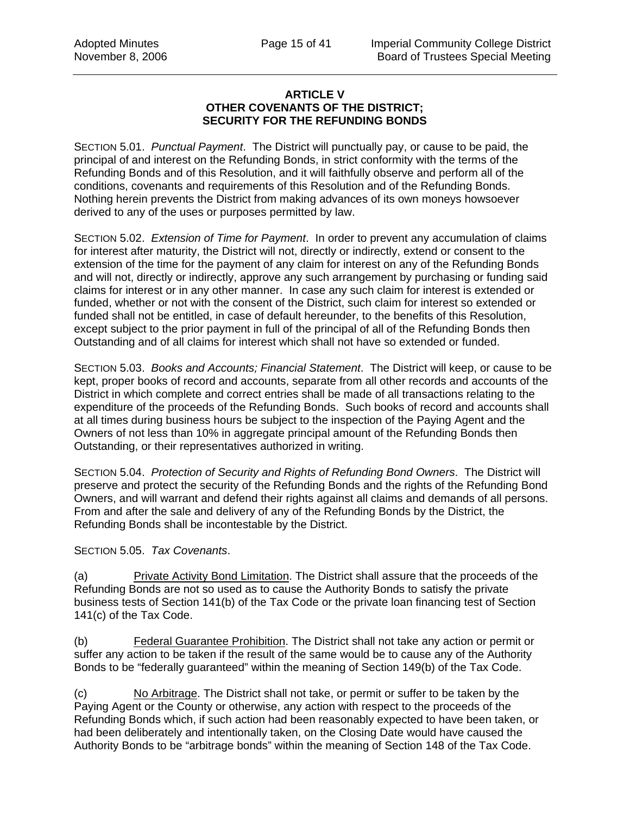### **ARTICLE V OTHER COVENANTS OF THE DISTRICT; SECURITY FOR THE REFUNDING BONDS**

SECTION 5.01. *Punctual Payment*. The District will punctually pay, or cause to be paid, the principal of and interest on the Refunding Bonds, in strict conformity with the terms of the Refunding Bonds and of this Resolution, and it will faithfully observe and perform all of the conditions, covenants and requirements of this Resolution and of the Refunding Bonds. Nothing herein prevents the District from making advances of its own moneys howsoever derived to any of the uses or purposes permitted by law.

SECTION 5.02. *Extension of Time for Payment*. In order to prevent any accumulation of claims for interest after maturity, the District will not, directly or indirectly, extend or consent to the extension of the time for the payment of any claim for interest on any of the Refunding Bonds and will not, directly or indirectly, approve any such arrangement by purchasing or funding said claims for interest or in any other manner. In case any such claim for interest is extended or funded, whether or not with the consent of the District, such claim for interest so extended or funded shall not be entitled, in case of default hereunder, to the benefits of this Resolution, except subject to the prior payment in full of the principal of all of the Refunding Bonds then Outstanding and of all claims for interest which shall not have so extended or funded.

SECTION 5.03. *Books and Accounts; Financial Statement*. The District will keep, or cause to be kept, proper books of record and accounts, separate from all other records and accounts of the District in which complete and correct entries shall be made of all transactions relating to the expenditure of the proceeds of the Refunding Bonds. Such books of record and accounts shall at all times during business hours be subject to the inspection of the Paying Agent and the Owners of not less than 10% in aggregate principal amount of the Refunding Bonds then Outstanding, or their representatives authorized in writing.

SECTION 5.04. *Protection of Security and Rights of Refunding Bond Owners*. The District will preserve and protect the security of the Refunding Bonds and the rights of the Refunding Bond Owners, and will warrant and defend their rights against all claims and demands of all persons. From and after the sale and delivery of any of the Refunding Bonds by the District, the Refunding Bonds shall be incontestable by the District.

SECTION 5.05. *Tax Covenants*.

(a) Private Activity Bond Limitation. The District shall assure that the proceeds of the Refunding Bonds are not so used as to cause the Authority Bonds to satisfy the private business tests of Section 141(b) of the Tax Code or the private loan financing test of Section 141(c) of the Tax Code.

(b) Federal Guarantee Prohibition. The District shall not take any action or permit or suffer any action to be taken if the result of the same would be to cause any of the Authority Bonds to be "federally guaranteed" within the meaning of Section 149(b) of the Tax Code.

(c) No Arbitrage. The District shall not take, or permit or suffer to be taken by the Paying Agent or the County or otherwise, any action with respect to the proceeds of the Refunding Bonds which, if such action had been reasonably expected to have been taken, or had been deliberately and intentionally taken, on the Closing Date would have caused the Authority Bonds to be "arbitrage bonds" within the meaning of Section 148 of the Tax Code.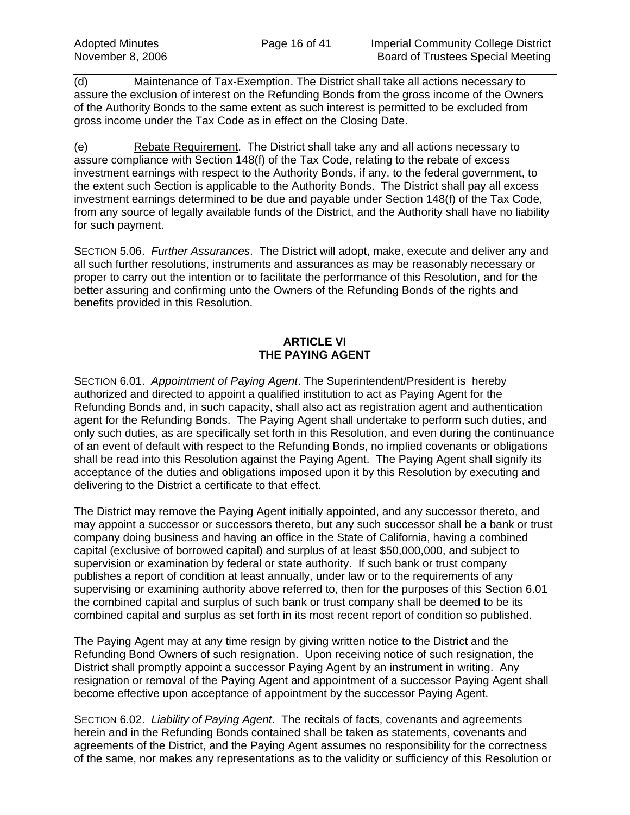(d) Maintenance of Tax-Exemption. The District shall take all actions necessary to assure the exclusion of interest on the Refunding Bonds from the gross income of the Owners of the Authority Bonds to the same extent as such interest is permitted to be excluded from gross income under the Tax Code as in effect on the Closing Date.

(e) Rebate Requirement. The District shall take any and all actions necessary to assure compliance with Section 148(f) of the Tax Code, relating to the rebate of excess investment earnings with respect to the Authority Bonds, if any, to the federal government, to the extent such Section is applicable to the Authority Bonds. The District shall pay all excess investment earnings determined to be due and payable under Section 148(f) of the Tax Code, from any source of legally available funds of the District, and the Authority shall have no liability for such payment.

SECTION 5.06. *Further Assurances*. The District will adopt, make, execute and deliver any and all such further resolutions, instruments and assurances as may be reasonably necessary or proper to carry out the intention or to facilitate the performance of this Resolution, and for the better assuring and confirming unto the Owners of the Refunding Bonds of the rights and benefits provided in this Resolution.

# **ARTICLE VI THE PAYING AGENT**

SECTION 6.01. *Appointment of Paying Agent*. The Superintendent/President is hereby authorized and directed to appoint a qualified institution to act as Paying Agent for the Refunding Bonds and, in such capacity, shall also act as registration agent and authentication agent for the Refunding Bonds. The Paying Agent shall undertake to perform such duties, and only such duties, as are specifically set forth in this Resolution, and even during the continuance of an event of default with respect to the Refunding Bonds, no implied covenants or obligations shall be read into this Resolution against the Paying Agent. The Paying Agent shall signify its acceptance of the duties and obligations imposed upon it by this Resolution by executing and delivering to the District a certificate to that effect.

The District may remove the Paying Agent initially appointed, and any successor thereto, and may appoint a successor or successors thereto, but any such successor shall be a bank or trust company doing business and having an office in the State of California, having a combined capital (exclusive of borrowed capital) and surplus of at least \$50,000,000, and subject to supervision or examination by federal or state authority. If such bank or trust company publishes a report of condition at least annually, under law or to the requirements of any supervising or examining authority above referred to, then for the purposes of this Section 6.01 the combined capital and surplus of such bank or trust company shall be deemed to be its combined capital and surplus as set forth in its most recent report of condition so published.

The Paying Agent may at any time resign by giving written notice to the District and the Refunding Bond Owners of such resignation. Upon receiving notice of such resignation, the District shall promptly appoint a successor Paying Agent by an instrument in writing. Any resignation or removal of the Paying Agent and appointment of a successor Paying Agent shall become effective upon acceptance of appointment by the successor Paying Agent.

SECTION 6.02. *Liability of Paying Agent*. The recitals of facts, covenants and agreements herein and in the Refunding Bonds contained shall be taken as statements, covenants and agreements of the District, and the Paying Agent assumes no responsibility for the correctness of the same, nor makes any representations as to the validity or sufficiency of this Resolution or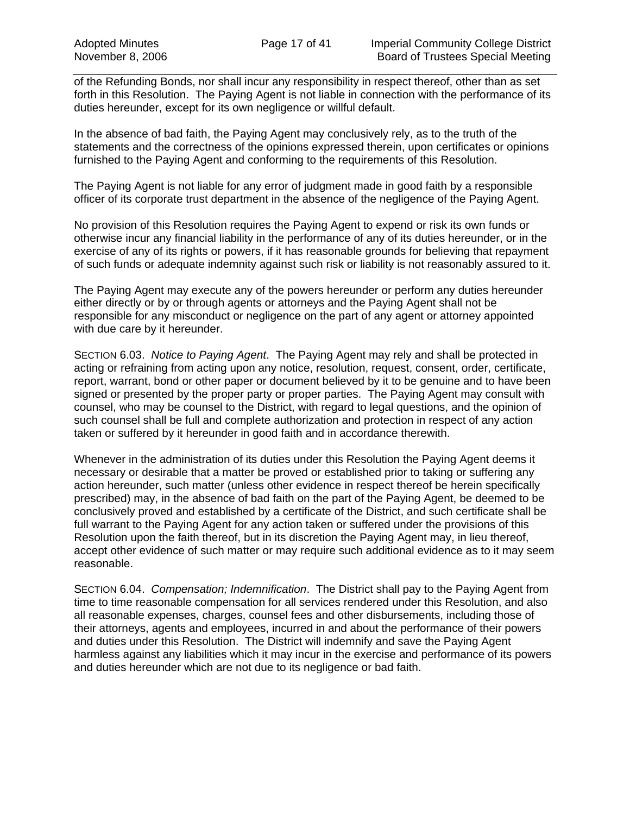of the Refunding Bonds, nor shall incur any responsibility in respect thereof, other than as set forth in this Resolution. The Paying Agent is not liable in connection with the performance of its duties hereunder, except for its own negligence or willful default.

In the absence of bad faith, the Paying Agent may conclusively rely, as to the truth of the statements and the correctness of the opinions expressed therein, upon certificates or opinions furnished to the Paying Agent and conforming to the requirements of this Resolution.

The Paying Agent is not liable for any error of judgment made in good faith by a responsible officer of its corporate trust department in the absence of the negligence of the Paying Agent.

No provision of this Resolution requires the Paying Agent to expend or risk its own funds or otherwise incur any financial liability in the performance of any of its duties hereunder, or in the exercise of any of its rights or powers, if it has reasonable grounds for believing that repayment of such funds or adequate indemnity against such risk or liability is not reasonably assured to it.

The Paying Agent may execute any of the powers hereunder or perform any duties hereunder either directly or by or through agents or attorneys and the Paying Agent shall not be responsible for any misconduct or negligence on the part of any agent or attorney appointed with due care by it hereunder.

SECTION 6.03. *Notice to Paying Agent*. The Paying Agent may rely and shall be protected in acting or refraining from acting upon any notice, resolution, request, consent, order, certificate, report, warrant, bond or other paper or document believed by it to be genuine and to have been signed or presented by the proper party or proper parties. The Paying Agent may consult with counsel, who may be counsel to the District, with regard to legal questions, and the opinion of such counsel shall be full and complete authorization and protection in respect of any action taken or suffered by it hereunder in good faith and in accordance therewith.

Whenever in the administration of its duties under this Resolution the Paying Agent deems it necessary or desirable that a matter be proved or established prior to taking or suffering any action hereunder, such matter (unless other evidence in respect thereof be herein specifically prescribed) may, in the absence of bad faith on the part of the Paying Agent, be deemed to be conclusively proved and established by a certificate of the District, and such certificate shall be full warrant to the Paying Agent for any action taken or suffered under the provisions of this Resolution upon the faith thereof, but in its discretion the Paying Agent may, in lieu thereof, accept other evidence of such matter or may require such additional evidence as to it may seem reasonable.

SECTION 6.04. *Compensation; Indemnification*. The District shall pay to the Paying Agent from time to time reasonable compensation for all services rendered under this Resolution, and also all reasonable expenses, charges, counsel fees and other disbursements, including those of their attorneys, agents and employees, incurred in and about the performance of their powers and duties under this Resolution. The District will indemnify and save the Paying Agent harmless against any liabilities which it may incur in the exercise and performance of its powers and duties hereunder which are not due to its negligence or bad faith.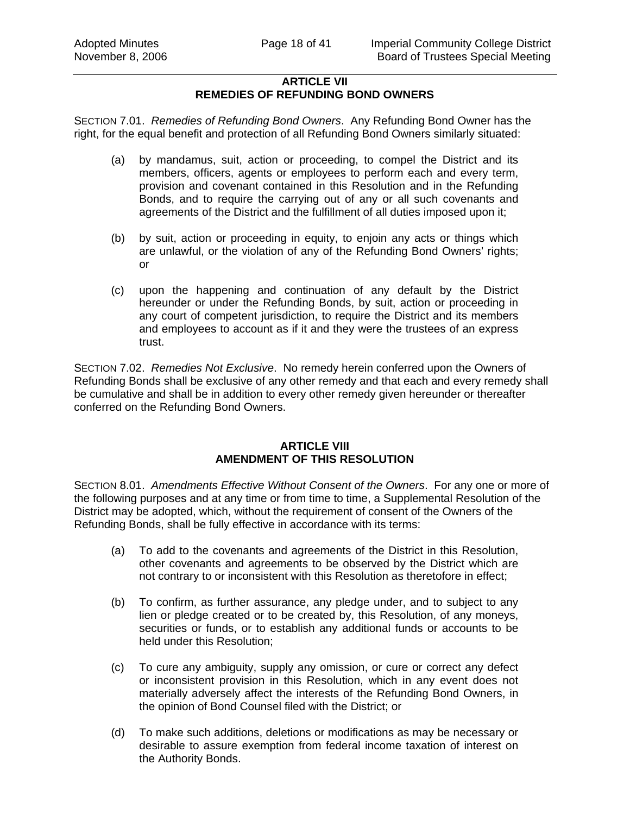## **ARTICLE VII REMEDIES OF REFUNDING BOND OWNERS**

SECTION 7.01. *Remedies of Refunding Bond Owners*. Any Refunding Bond Owner has the right, for the equal benefit and protection of all Refunding Bond Owners similarly situated:

- (a) by mandamus, suit, action or proceeding, to compel the District and its members, officers, agents or employees to perform each and every term, provision and covenant contained in this Resolution and in the Refunding Bonds, and to require the carrying out of any or all such covenants and agreements of the District and the fulfillment of all duties imposed upon it;
- (b) by suit, action or proceeding in equity, to enjoin any acts or things which are unlawful, or the violation of any of the Refunding Bond Owners' rights; or
- (c) upon the happening and continuation of any default by the District hereunder or under the Refunding Bonds, by suit, action or proceeding in any court of competent jurisdiction, to require the District and its members and employees to account as if it and they were the trustees of an express trust.

SECTION 7.02. *Remedies Not Exclusive*. No remedy herein conferred upon the Owners of Refunding Bonds shall be exclusive of any other remedy and that each and every remedy shall be cumulative and shall be in addition to every other remedy given hereunder or thereafter conferred on the Refunding Bond Owners.

#### **ARTICLE VIII AMENDMENT OF THIS RESOLUTION**

SECTION 8.01. *Amendments Effective Without Consent of the Owners*. For any one or more of the following purposes and at any time or from time to time, a Supplemental Resolution of the District may be adopted, which, without the requirement of consent of the Owners of the Refunding Bonds, shall be fully effective in accordance with its terms:

- (a) To add to the covenants and agreements of the District in this Resolution, other covenants and agreements to be observed by the District which are not contrary to or inconsistent with this Resolution as theretofore in effect;
- (b) To confirm, as further assurance, any pledge under, and to subject to any lien or pledge created or to be created by, this Resolution, of any moneys, securities or funds, or to establish any additional funds or accounts to be held under this Resolution;
- (c) To cure any ambiguity, supply any omission, or cure or correct any defect or inconsistent provision in this Resolution, which in any event does not materially adversely affect the interests of the Refunding Bond Owners, in the opinion of Bond Counsel filed with the District; or
- (d) To make such additions, deletions or modifications as may be necessary or desirable to assure exemption from federal income taxation of interest on the Authority Bonds.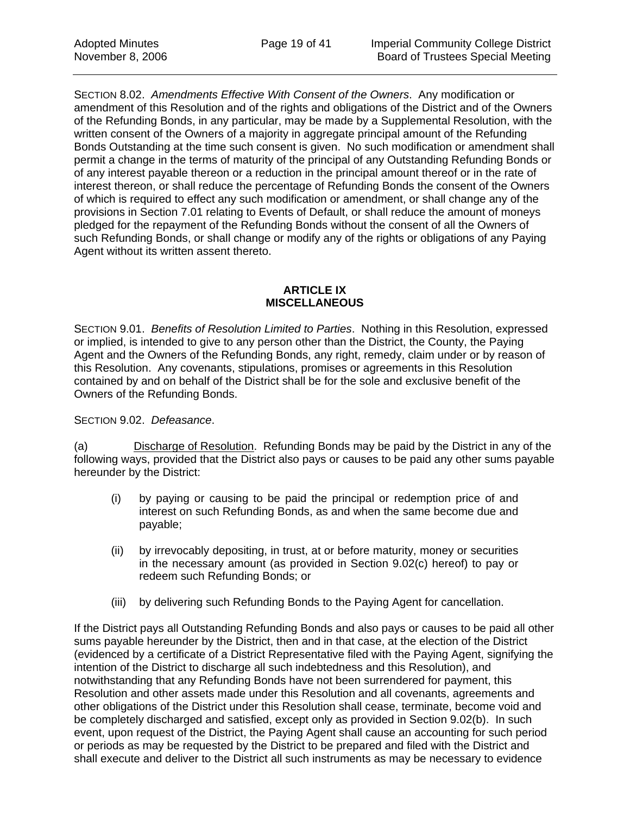SECTION 8.02. *Amendments Effective With Consent of the Owners*. Any modification or amendment of this Resolution and of the rights and obligations of the District and of the Owners of the Refunding Bonds, in any particular, may be made by a Supplemental Resolution, with the written consent of the Owners of a majority in aggregate principal amount of the Refunding Bonds Outstanding at the time such consent is given. No such modification or amendment shall permit a change in the terms of maturity of the principal of any Outstanding Refunding Bonds or of any interest payable thereon or a reduction in the principal amount thereof or in the rate of interest thereon, or shall reduce the percentage of Refunding Bonds the consent of the Owners of which is required to effect any such modification or amendment, or shall change any of the provisions in Section 7.01 relating to Events of Default, or shall reduce the amount of moneys pledged for the repayment of the Refunding Bonds without the consent of all the Owners of such Refunding Bonds, or shall change or modify any of the rights or obligations of any Paying Agent without its written assent thereto.

### **ARTICLE IX MISCELLANEOUS**

SECTION 9.01. *Benefits of Resolution Limited to Parties*. Nothing in this Resolution, expressed or implied, is intended to give to any person other than the District, the County, the Paying Agent and the Owners of the Refunding Bonds, any right, remedy, claim under or by reason of this Resolution. Any covenants, stipulations, promises or agreements in this Resolution contained by and on behalf of the District shall be for the sole and exclusive benefit of the Owners of the Refunding Bonds.

SECTION 9.02. *Defeasance*.

(a) Discharge of Resolution. Refunding Bonds may be paid by the District in any of the following ways, provided that the District also pays or causes to be paid any other sums payable hereunder by the District:

- (i) by paying or causing to be paid the principal or redemption price of and interest on such Refunding Bonds, as and when the same become due and payable;
- (ii) by irrevocably depositing, in trust, at or before maturity, money or securities in the necessary amount (as provided in Section 9.02(c) hereof) to pay or redeem such Refunding Bonds; or
- (iii) by delivering such Refunding Bonds to the Paying Agent for cancellation.

If the District pays all Outstanding Refunding Bonds and also pays or causes to be paid all other sums payable hereunder by the District, then and in that case, at the election of the District (evidenced by a certificate of a District Representative filed with the Paying Agent, signifying the intention of the District to discharge all such indebtedness and this Resolution), and notwithstanding that any Refunding Bonds have not been surrendered for payment, this Resolution and other assets made under this Resolution and all covenants, agreements and other obligations of the District under this Resolution shall cease, terminate, become void and be completely discharged and satisfied, except only as provided in Section 9.02(b). In such event, upon request of the District, the Paying Agent shall cause an accounting for such period or periods as may be requested by the District to be prepared and filed with the District and shall execute and deliver to the District all such instruments as may be necessary to evidence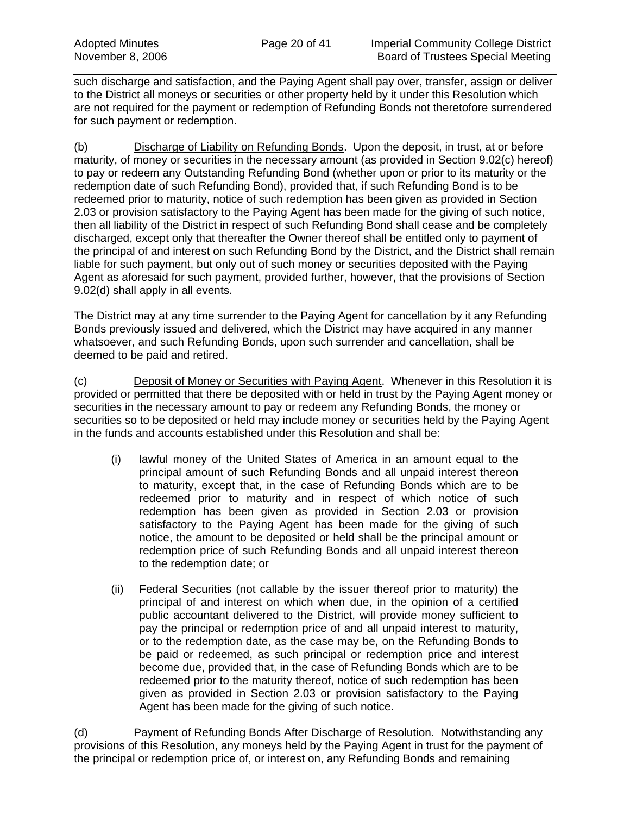such discharge and satisfaction, and the Paying Agent shall pay over, transfer, assign or deliver to the District all moneys or securities or other property held by it under this Resolution which are not required for the payment or redemption of Refunding Bonds not theretofore surrendered for such payment or redemption.

(b) Discharge of Liability on Refunding Bonds. Upon the deposit, in trust, at or before maturity, of money or securities in the necessary amount (as provided in Section 9.02(c) hereof) to pay or redeem any Outstanding Refunding Bond (whether upon or prior to its maturity or the redemption date of such Refunding Bond), provided that, if such Refunding Bond is to be redeemed prior to maturity, notice of such redemption has been given as provided in Section 2.03 or provision satisfactory to the Paying Agent has been made for the giving of such notice, then all liability of the District in respect of such Refunding Bond shall cease and be completely discharged, except only that thereafter the Owner thereof shall be entitled only to payment of the principal of and interest on such Refunding Bond by the District, and the District shall remain liable for such payment, but only out of such money or securities deposited with the Paying Agent as aforesaid for such payment, provided further, however, that the provisions of Section 9.02(d) shall apply in all events.

The District may at any time surrender to the Paying Agent for cancellation by it any Refunding Bonds previously issued and delivered, which the District may have acquired in any manner whatsoever, and such Refunding Bonds, upon such surrender and cancellation, shall be deemed to be paid and retired.

(c) Deposit of Money or Securities with Paying Agent. Whenever in this Resolution it is provided or permitted that there be deposited with or held in trust by the Paying Agent money or securities in the necessary amount to pay or redeem any Refunding Bonds, the money or securities so to be deposited or held may include money or securities held by the Paying Agent in the funds and accounts established under this Resolution and shall be:

- (i) lawful money of the United States of America in an amount equal to the principal amount of such Refunding Bonds and all unpaid interest thereon to maturity, except that, in the case of Refunding Bonds which are to be redeemed prior to maturity and in respect of which notice of such redemption has been given as provided in Section 2.03 or provision satisfactory to the Paying Agent has been made for the giving of such notice, the amount to be deposited or held shall be the principal amount or redemption price of such Refunding Bonds and all unpaid interest thereon to the redemption date; or
- (ii) Federal Securities (not callable by the issuer thereof prior to maturity) the principal of and interest on which when due, in the opinion of a certified public accountant delivered to the District, will provide money sufficient to pay the principal or redemption price of and all unpaid interest to maturity, or to the redemption date, as the case may be, on the Refunding Bonds to be paid or redeemed, as such principal or redemption price and interest become due, provided that, in the case of Refunding Bonds which are to be redeemed prior to the maturity thereof, notice of such redemption has been given as provided in Section 2.03 or provision satisfactory to the Paying Agent has been made for the giving of such notice.

(d) Payment of Refunding Bonds After Discharge of Resolution. Notwithstanding any provisions of this Resolution, any moneys held by the Paying Agent in trust for the payment of the principal or redemption price of, or interest on, any Refunding Bonds and remaining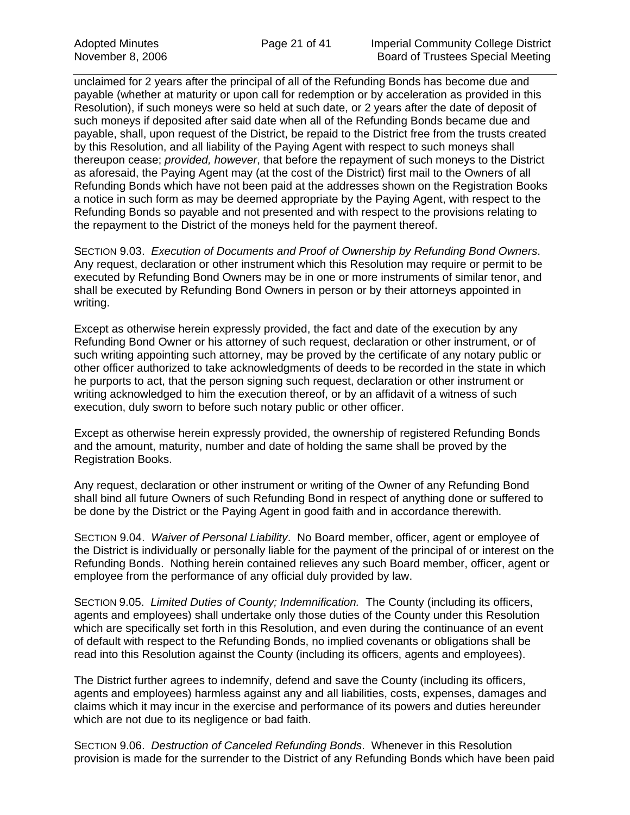unclaimed for 2 years after the principal of all of the Refunding Bonds has become due and payable (whether at maturity or upon call for redemption or by acceleration as provided in this Resolution), if such moneys were so held at such date, or 2 years after the date of deposit of such moneys if deposited after said date when all of the Refunding Bonds became due and payable, shall, upon request of the District, be repaid to the District free from the trusts created by this Resolution, and all liability of the Paying Agent with respect to such moneys shall thereupon cease; *provided, however*, that before the repayment of such moneys to the District as aforesaid, the Paying Agent may (at the cost of the District) first mail to the Owners of all Refunding Bonds which have not been paid at the addresses shown on the Registration Books a notice in such form as may be deemed appropriate by the Paying Agent, with respect to the Refunding Bonds so payable and not presented and with respect to the provisions relating to the repayment to the District of the moneys held for the payment thereof.

SECTION 9.03. *Execution of Documents and Proof of Ownership by Refunding Bond Owners*. Any request, declaration or other instrument which this Resolution may require or permit to be executed by Refunding Bond Owners may be in one or more instruments of similar tenor, and shall be executed by Refunding Bond Owners in person or by their attorneys appointed in writing.

Except as otherwise herein expressly provided, the fact and date of the execution by any Refunding Bond Owner or his attorney of such request, declaration or other instrument, or of such writing appointing such attorney, may be proved by the certificate of any notary public or other officer authorized to take acknowledgments of deeds to be recorded in the state in which he purports to act, that the person signing such request, declaration or other instrument or writing acknowledged to him the execution thereof, or by an affidavit of a witness of such execution, duly sworn to before such notary public or other officer.

Except as otherwise herein expressly provided, the ownership of registered Refunding Bonds and the amount, maturity, number and date of holding the same shall be proved by the Registration Books.

Any request, declaration or other instrument or writing of the Owner of any Refunding Bond shall bind all future Owners of such Refunding Bond in respect of anything done or suffered to be done by the District or the Paying Agent in good faith and in accordance therewith.

SECTION 9.04. *Waiver of Personal Liability*. No Board member, officer, agent or employee of the District is individually or personally liable for the payment of the principal of or interest on the Refunding Bonds. Nothing herein contained relieves any such Board member, officer, agent or employee from the performance of any official duly provided by law.

SECTION 9.05. *Limited Duties of County; Indemnification.* The County (including its officers, agents and employees) shall undertake only those duties of the County under this Resolution which are specifically set forth in this Resolution, and even during the continuance of an event of default with respect to the Refunding Bonds, no implied covenants or obligations shall be read into this Resolution against the County (including its officers, agents and employees).

The District further agrees to indemnify, defend and save the County (including its officers, agents and employees) harmless against any and all liabilities, costs, expenses, damages and claims which it may incur in the exercise and performance of its powers and duties hereunder which are not due to its negligence or bad faith.

SECTION 9.06. *Destruction of Canceled Refunding Bonds*. Whenever in this Resolution provision is made for the surrender to the District of any Refunding Bonds which have been paid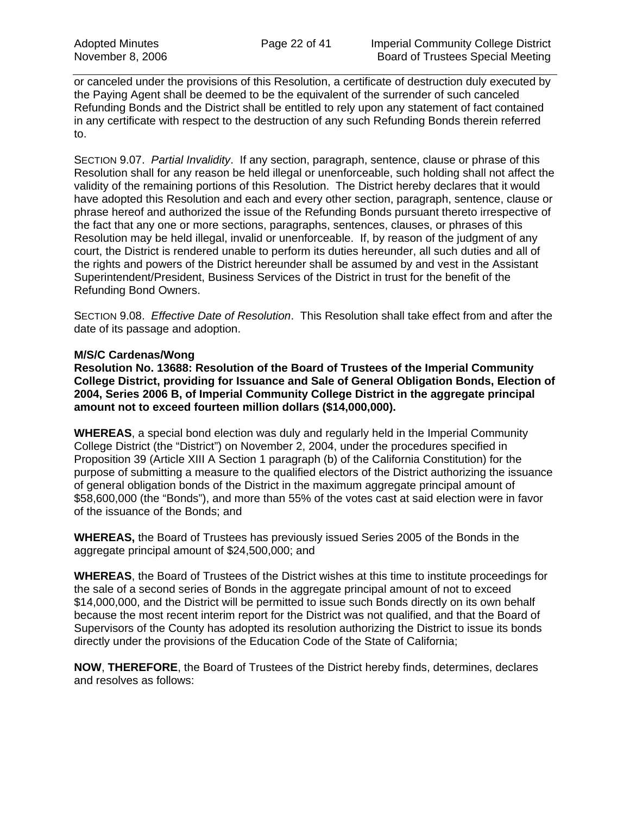or canceled under the provisions of this Resolution, a certificate of destruction duly executed by the Paying Agent shall be deemed to be the equivalent of the surrender of such canceled Refunding Bonds and the District shall be entitled to rely upon any statement of fact contained in any certificate with respect to the destruction of any such Refunding Bonds therein referred to.

SECTION 9.07. *Partial Invalidity*. If any section, paragraph, sentence, clause or phrase of this Resolution shall for any reason be held illegal or unenforceable, such holding shall not affect the validity of the remaining portions of this Resolution. The District hereby declares that it would have adopted this Resolution and each and every other section, paragraph, sentence, clause or phrase hereof and authorized the issue of the Refunding Bonds pursuant thereto irrespective of the fact that any one or more sections, paragraphs, sentences, clauses, or phrases of this Resolution may be held illegal, invalid or unenforceable. If, by reason of the judgment of any court, the District is rendered unable to perform its duties hereunder, all such duties and all of the rights and powers of the District hereunder shall be assumed by and vest in the Assistant Superintendent/President, Business Services of the District in trust for the benefit of the Refunding Bond Owners.

SECTION 9.08. *Effective Date of Resolution*. This Resolution shall take effect from and after the date of its passage and adoption.

#### **M/S/C Cardenas/Wong**

**Resolution No. 13688: Resolution of the Board of Trustees of the Imperial Community College District, providing for Issuance and Sale of General Obligation Bonds, Election of 2004, Series 2006 B, of Imperial Community College District in the aggregate principal amount not to exceed fourteen million dollars (\$14,000,000).** 

**WHEREAS**, a special bond election was duly and regularly held in the Imperial Community College District (the "District") on November 2, 2004, under the procedures specified in Proposition 39 (Article XIII A Section 1 paragraph (b) of the California Constitution) for the purpose of submitting a measure to the qualified electors of the District authorizing the issuance of general obligation bonds of the District in the maximum aggregate principal amount of \$58,600,000 (the "Bonds"), and more than 55% of the votes cast at said election were in favor of the issuance of the Bonds; and

**WHEREAS,** the Board of Trustees has previously issued Series 2005 of the Bonds in the aggregate principal amount of \$24,500,000; and

**WHEREAS**, the Board of Trustees of the District wishes at this time to institute proceedings for the sale of a second series of Bonds in the aggregate principal amount of not to exceed \$14,000,000, and the District will be permitted to issue such Bonds directly on its own behalf because the most recent interim report for the District was not qualified, and that the Board of Supervisors of the County has adopted its resolution authorizing the District to issue its bonds directly under the provisions of the Education Code of the State of California;

**NOW**, **THEREFORE**, the Board of Trustees of the District hereby finds, determines, declares and resolves as follows: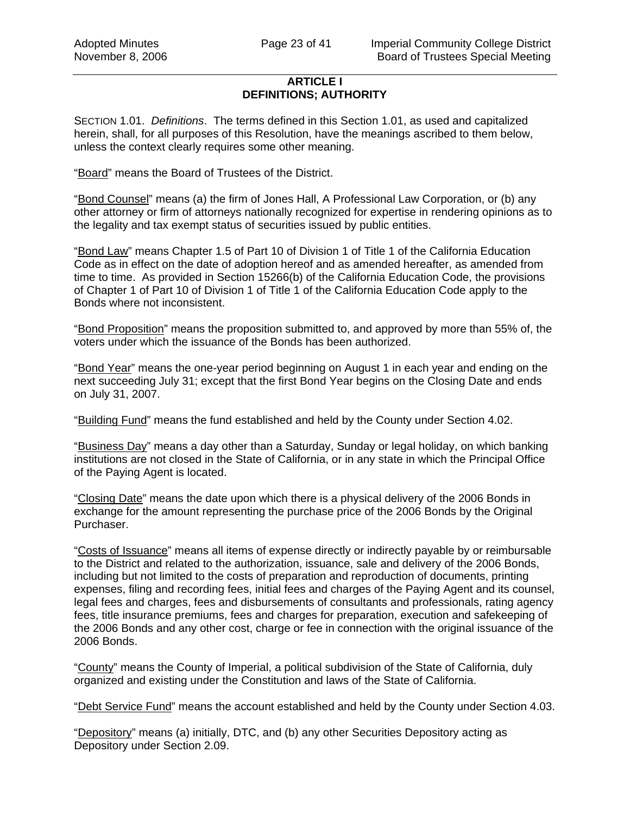## **ARTICLE I DEFINITIONS; AUTHORITY**

SECTION 1.01. *Definitions*. The terms defined in this Section 1.01, as used and capitalized herein, shall, for all purposes of this Resolution, have the meanings ascribed to them below, unless the context clearly requires some other meaning.

"Board" means the Board of Trustees of the District.

"Bond Counsel" means (a) the firm of Jones Hall, A Professional Law Corporation, or (b) any other attorney or firm of attorneys nationally recognized for expertise in rendering opinions as to the legality and tax exempt status of securities issued by public entities.

"Bond Law" means Chapter 1.5 of Part 10 of Division 1 of Title 1 of the California Education Code as in effect on the date of adoption hereof and as amended hereafter, as amended from time to time. As provided in Section 15266(b) of the California Education Code, the provisions of Chapter 1 of Part 10 of Division 1 of Title 1 of the California Education Code apply to the Bonds where not inconsistent.

"Bond Proposition" means the proposition submitted to, and approved by more than 55% of, the voters under which the issuance of the Bonds has been authorized.

"Bond Year" means the one-year period beginning on August 1 in each year and ending on the next succeeding July 31; except that the first Bond Year begins on the Closing Date and ends on July 31, 2007.

"Building Fund" means the fund established and held by the County under Section 4.02.

"Business Day" means a day other than a Saturday, Sunday or legal holiday, on which banking institutions are not closed in the State of California, or in any state in which the Principal Office of the Paying Agent is located.

"Closing Date" means the date upon which there is a physical delivery of the 2006 Bonds in exchange for the amount representing the purchase price of the 2006 Bonds by the Original Purchaser.

"Costs of Issuance" means all items of expense directly or indirectly payable by or reimbursable to the District and related to the authorization, issuance, sale and delivery of the 2006 Bonds, including but not limited to the costs of preparation and reproduction of documents, printing expenses, filing and recording fees, initial fees and charges of the Paying Agent and its counsel, legal fees and charges, fees and disbursements of consultants and professionals, rating agency fees, title insurance premiums, fees and charges for preparation, execution and safekeeping of the 2006 Bonds and any other cost, charge or fee in connection with the original issuance of the 2006 Bonds.

"County" means the County of Imperial, a political subdivision of the State of California, duly organized and existing under the Constitution and laws of the State of California.

"Debt Service Fund" means the account established and held by the County under Section 4.03.

"Depository" means (a) initially, DTC, and (b) any other Securities Depository acting as Depository under Section 2.09.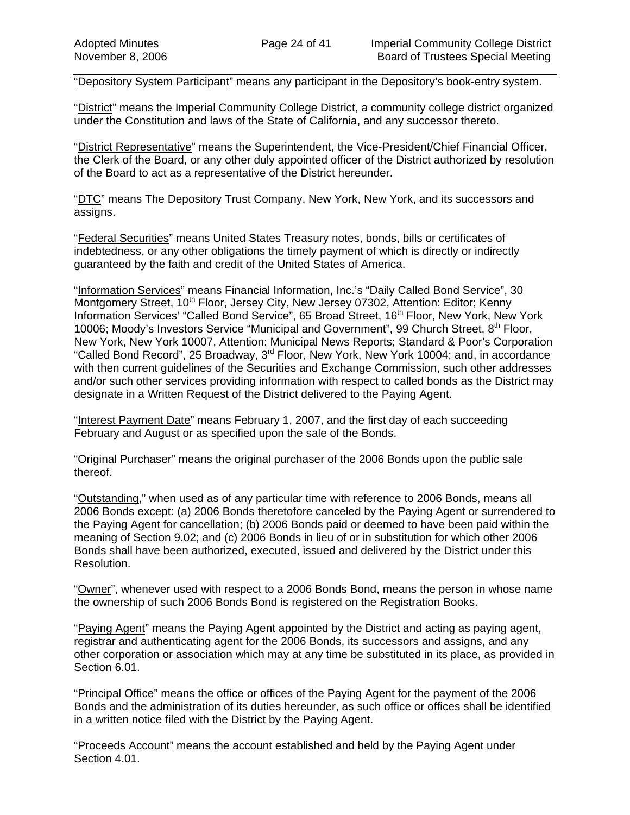"Depository System Participant" means any participant in the Depository's book-entry system.

"District" means the Imperial Community College District, a community college district organized under the Constitution and laws of the State of California, and any successor thereto.

"District Representative" means the Superintendent, the Vice-President/Chief Financial Officer, the Clerk of the Board, or any other duly appointed officer of the District authorized by resolution of the Board to act as a representative of the District hereunder.

"DTC" means The Depository Trust Company, New York, New York, and its successors and assigns.

"Federal Securities" means United States Treasury notes, bonds, bills or certificates of indebtedness, or any other obligations the timely payment of which is directly or indirectly guaranteed by the faith and credit of the United States of America.

"Information Services" means Financial Information, Inc.'s "Daily Called Bond Service", 30 Montgomery Street, 10<sup>th</sup> Floor, Jersey City, New Jersey 07302, Attention: Editor; Kenny Information Services' "Called Bond Service", 65 Broad Street, 16<sup>th</sup> Floor, New York, New York 10006; Moody's Investors Service "Municipal and Government", 99 Church Street, 8th Floor, New York, New York 10007, Attention: Municipal News Reports; Standard & Poor's Corporation "Called Bond Record", 25 Broadway, 3<sup>rd</sup> Floor, New York, New York 10004; and, in accordance with then current guidelines of the Securities and Exchange Commission, such other addresses and/or such other services providing information with respect to called bonds as the District may designate in a Written Request of the District delivered to the Paying Agent.

"Interest Payment Date" means February 1, 2007, and the first day of each succeeding February and August or as specified upon the sale of the Bonds.

"Original Purchaser" means the original purchaser of the 2006 Bonds upon the public sale thereof.

"Outstanding," when used as of any particular time with reference to 2006 Bonds, means all 2006 Bonds except: (a) 2006 Bonds theretofore canceled by the Paying Agent or surrendered to the Paying Agent for cancellation; (b) 2006 Bonds paid or deemed to have been paid within the meaning of Section 9.02; and (c) 2006 Bonds in lieu of or in substitution for which other 2006 Bonds shall have been authorized, executed, issued and delivered by the District under this Resolution.

"Owner", whenever used with respect to a 2006 Bonds Bond, means the person in whose name the ownership of such 2006 Bonds Bond is registered on the Registration Books.

"Paying Agent" means the Paying Agent appointed by the District and acting as paying agent, registrar and authenticating agent for the 2006 Bonds, its successors and assigns, and any other corporation or association which may at any time be substituted in its place, as provided in Section 6.01.

"Principal Office" means the office or offices of the Paying Agent for the payment of the 2006 Bonds and the administration of its duties hereunder, as such office or offices shall be identified in a written notice filed with the District by the Paying Agent.

"Proceeds Account" means the account established and held by the Paying Agent under Section 4.01.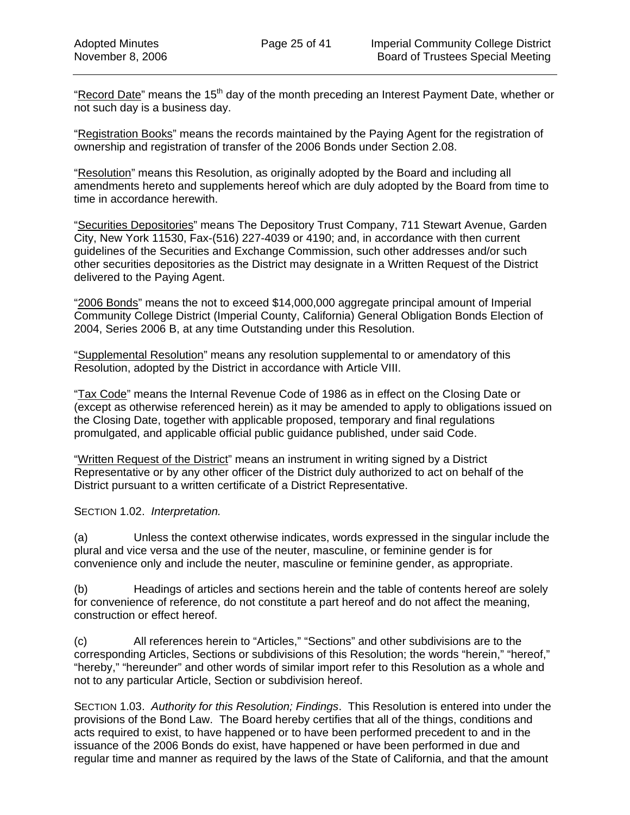"Record Date" means the  $15<sup>th</sup>$  day of the month preceding an Interest Payment Date, whether or not such day is a business day.

"Registration Books" means the records maintained by the Paying Agent for the registration of ownership and registration of transfer of the 2006 Bonds under Section 2.08.

"Resolution" means this Resolution, as originally adopted by the Board and including all amendments hereto and supplements hereof which are duly adopted by the Board from time to time in accordance herewith.

"Securities Depositories" means The Depository Trust Company, 711 Stewart Avenue, Garden City, New York 11530, Fax-(516) 227-4039 or 4190; and, in accordance with then current guidelines of the Securities and Exchange Commission, such other addresses and/or such other securities depositories as the District may designate in a Written Request of the District delivered to the Paying Agent.

"2006 Bonds" means the not to exceed \$14,000,000 aggregate principal amount of Imperial Community College District (Imperial County, California) General Obligation Bonds Election of 2004, Series 2006 B, at any time Outstanding under this Resolution.

"Supplemental Resolution" means any resolution supplemental to or amendatory of this Resolution, adopted by the District in accordance with Article VIII.

"Tax Code" means the Internal Revenue Code of 1986 as in effect on the Closing Date or (except as otherwise referenced herein) as it may be amended to apply to obligations issued on the Closing Date, together with applicable proposed, temporary and final regulations promulgated, and applicable official public guidance published, under said Code.

"Written Request of the District" means an instrument in writing signed by a District Representative or by any other officer of the District duly authorized to act on behalf of the District pursuant to a written certificate of a District Representative.

SECTION 1.02. *Interpretation.* 

(a) Unless the context otherwise indicates, words expressed in the singular include the plural and vice versa and the use of the neuter, masculine, or feminine gender is for convenience only and include the neuter, masculine or feminine gender, as appropriate.

(b) Headings of articles and sections herein and the table of contents hereof are solely for convenience of reference, do not constitute a part hereof and do not affect the meaning, construction or effect hereof.

(c) All references herein to "Articles," "Sections" and other subdivisions are to the corresponding Articles, Sections or subdivisions of this Resolution; the words "herein," "hereof," "hereby," "hereunder" and other words of similar import refer to this Resolution as a whole and not to any particular Article, Section or subdivision hereof.

SECTION 1.03. *Authority for this Resolution; Findings*. This Resolution is entered into under the provisions of the Bond Law. The Board hereby certifies that all of the things, conditions and acts required to exist, to have happened or to have been performed precedent to and in the issuance of the 2006 Bonds do exist, have happened or have been performed in due and regular time and manner as required by the laws of the State of California, and that the amount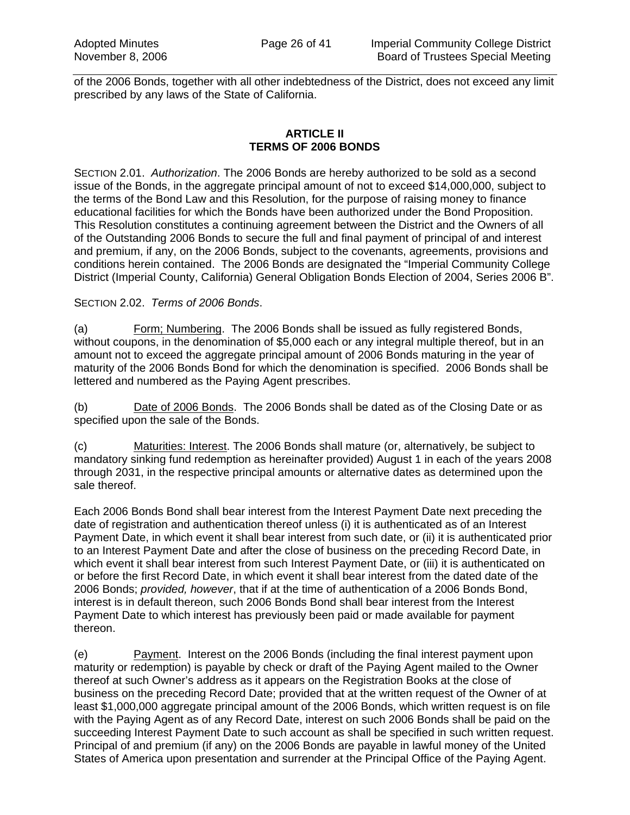of the 2006 Bonds, together with all other indebtedness of the District, does not exceed any limit prescribed by any laws of the State of California.

### **ARTICLE II TERMS OF 2006 BONDS**

SECTION 2.01. *Authorization*. The 2006 Bonds are hereby authorized to be sold as a second issue of the Bonds, in the aggregate principal amount of not to exceed \$14,000,000, subject to the terms of the Bond Law and this Resolution, for the purpose of raising money to finance educational facilities for which the Bonds have been authorized under the Bond Proposition. This Resolution constitutes a continuing agreement between the District and the Owners of all of the Outstanding 2006 Bonds to secure the full and final payment of principal of and interest and premium, if any, on the 2006 Bonds, subject to the covenants, agreements, provisions and conditions herein contained. The 2006 Bonds are designated the "Imperial Community College District (Imperial County, California) General Obligation Bonds Election of 2004, Series 2006 B".

## SECTION 2.02. *Terms of 2006 Bonds*.

(a) Form; Numbering. The 2006 Bonds shall be issued as fully registered Bonds, without coupons, in the denomination of \$5,000 each or any integral multiple thereof, but in an amount not to exceed the aggregate principal amount of 2006 Bonds maturing in the year of maturity of the 2006 Bonds Bond for which the denomination is specified. 2006 Bonds shall be lettered and numbered as the Paying Agent prescribes.

(b) Date of 2006 Bonds. The 2006 Bonds shall be dated as of the Closing Date or as specified upon the sale of the Bonds.

(c) Maturities: Interest. The 2006 Bonds shall mature (or, alternatively, be subject to mandatory sinking fund redemption as hereinafter provided) August 1 in each of the years 2008 through 2031, in the respective principal amounts or alternative dates as determined upon the sale thereof.

Each 2006 Bonds Bond shall bear interest from the Interest Payment Date next preceding the date of registration and authentication thereof unless (i) it is authenticated as of an Interest Payment Date, in which event it shall bear interest from such date, or (ii) it is authenticated prior to an Interest Payment Date and after the close of business on the preceding Record Date, in which event it shall bear interest from such Interest Payment Date, or (iii) it is authenticated on or before the first Record Date, in which event it shall bear interest from the dated date of the 2006 Bonds; *provided, however*, that if at the time of authentication of a 2006 Bonds Bond, interest is in default thereon, such 2006 Bonds Bond shall bear interest from the Interest Payment Date to which interest has previously been paid or made available for payment thereon.

(e) Payment. Interest on the 2006 Bonds (including the final interest payment upon maturity or redemption) is payable by check or draft of the Paying Agent mailed to the Owner thereof at such Owner's address as it appears on the Registration Books at the close of business on the preceding Record Date; provided that at the written request of the Owner of at least \$1,000,000 aggregate principal amount of the 2006 Bonds, which written request is on file with the Paying Agent as of any Record Date, interest on such 2006 Bonds shall be paid on the succeeding Interest Payment Date to such account as shall be specified in such written request. Principal of and premium (if any) on the 2006 Bonds are payable in lawful money of the United States of America upon presentation and surrender at the Principal Office of the Paying Agent.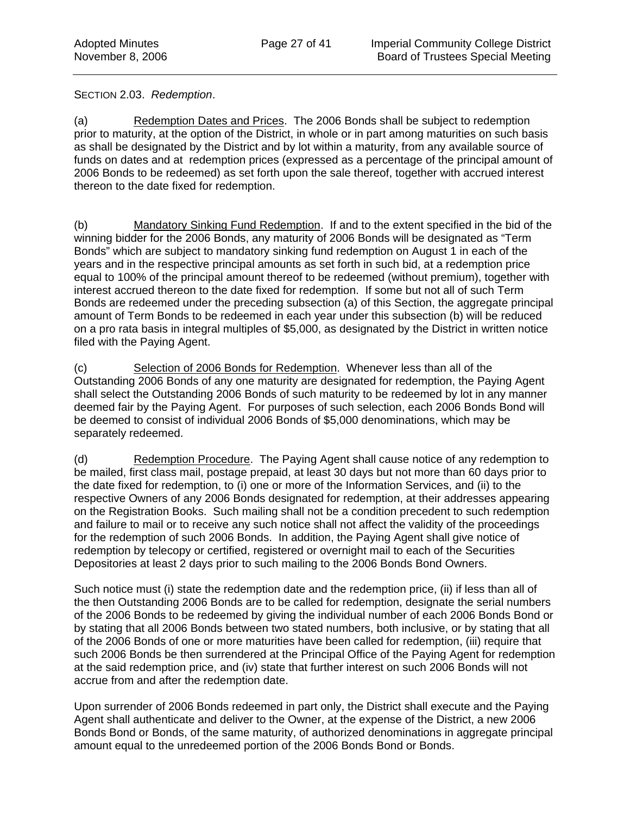SECTION 2.03. *Redemption*.

(a) Redemption Dates and Prices. The 2006 Bonds shall be subject to redemption prior to maturity, at the option of the District, in whole or in part among maturities on such basis as shall be designated by the District and by lot within a maturity, from any available source of funds on dates and at redemption prices (expressed as a percentage of the principal amount of 2006 Bonds to be redeemed) as set forth upon the sale thereof, together with accrued interest thereon to the date fixed for redemption.

(b) Mandatory Sinking Fund Redemption. If and to the extent specified in the bid of the winning bidder for the 2006 Bonds, any maturity of 2006 Bonds will be designated as "Term Bonds" which are subject to mandatory sinking fund redemption on August 1 in each of the years and in the respective principal amounts as set forth in such bid, at a redemption price equal to 100% of the principal amount thereof to be redeemed (without premium), together with interest accrued thereon to the date fixed for redemption. If some but not all of such Term Bonds are redeemed under the preceding subsection (a) of this Section, the aggregate principal amount of Term Bonds to be redeemed in each year under this subsection (b) will be reduced on a pro rata basis in integral multiples of \$5,000, as designated by the District in written notice filed with the Paying Agent.

(c) Selection of 2006 Bonds for Redemption. Whenever less than all of the Outstanding 2006 Bonds of any one maturity are designated for redemption, the Paying Agent shall select the Outstanding 2006 Bonds of such maturity to be redeemed by lot in any manner deemed fair by the Paying Agent. For purposes of such selection, each 2006 Bonds Bond will be deemed to consist of individual 2006 Bonds of \$5,000 denominations, which may be separately redeemed.

(d) Redemption Procedure. The Paying Agent shall cause notice of any redemption to be mailed, first class mail, postage prepaid, at least 30 days but not more than 60 days prior to the date fixed for redemption, to (i) one or more of the Information Services, and (ii) to the respective Owners of any 2006 Bonds designated for redemption, at their addresses appearing on the Registration Books. Such mailing shall not be a condition precedent to such redemption and failure to mail or to receive any such notice shall not affect the validity of the proceedings for the redemption of such 2006 Bonds. In addition, the Paying Agent shall give notice of redemption by telecopy or certified, registered or overnight mail to each of the Securities Depositories at least 2 days prior to such mailing to the 2006 Bonds Bond Owners.

Such notice must (i) state the redemption date and the redemption price, (ii) if less than all of the then Outstanding 2006 Bonds are to be called for redemption, designate the serial numbers of the 2006 Bonds to be redeemed by giving the individual number of each 2006 Bonds Bond or by stating that all 2006 Bonds between two stated numbers, both inclusive, or by stating that all of the 2006 Bonds of one or more maturities have been called for redemption, (iii) require that such 2006 Bonds be then surrendered at the Principal Office of the Paying Agent for redemption at the said redemption price, and (iv) state that further interest on such 2006 Bonds will not accrue from and after the redemption date.

Upon surrender of 2006 Bonds redeemed in part only, the District shall execute and the Paying Agent shall authenticate and deliver to the Owner, at the expense of the District, a new 2006 Bonds Bond or Bonds, of the same maturity, of authorized denominations in aggregate principal amount equal to the unredeemed portion of the 2006 Bonds Bond or Bonds.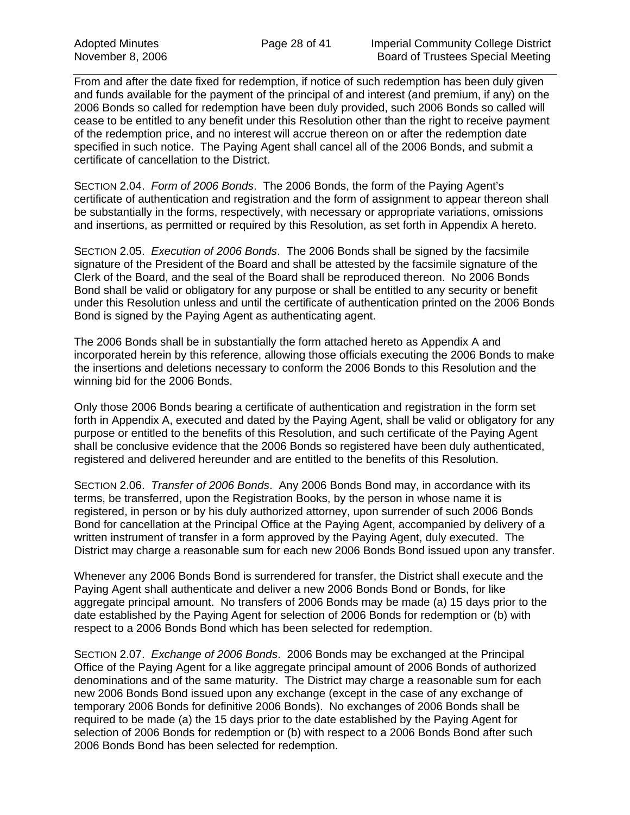From and after the date fixed for redemption, if notice of such redemption has been duly given and funds available for the payment of the principal of and interest (and premium, if any) on the 2006 Bonds so called for redemption have been duly provided, such 2006 Bonds so called will cease to be entitled to any benefit under this Resolution other than the right to receive payment of the redemption price, and no interest will accrue thereon on or after the redemption date specified in such notice. The Paying Agent shall cancel all of the 2006 Bonds, and submit a certificate of cancellation to the District.

SECTION 2.04. *Form of 2006 Bonds*. The 2006 Bonds, the form of the Paying Agent's certificate of authentication and registration and the form of assignment to appear thereon shall be substantially in the forms, respectively, with necessary or appropriate variations, omissions and insertions, as permitted or required by this Resolution, as set forth in Appendix A hereto.

SECTION 2.05. *Execution of 2006 Bonds*. The 2006 Bonds shall be signed by the facsimile signature of the President of the Board and shall be attested by the facsimile signature of the Clerk of the Board, and the seal of the Board shall be reproduced thereon. No 2006 Bonds Bond shall be valid or obligatory for any purpose or shall be entitled to any security or benefit under this Resolution unless and until the certificate of authentication printed on the 2006 Bonds Bond is signed by the Paying Agent as authenticating agent.

The 2006 Bonds shall be in substantially the form attached hereto as Appendix A and incorporated herein by this reference, allowing those officials executing the 2006 Bonds to make the insertions and deletions necessary to conform the 2006 Bonds to this Resolution and the winning bid for the 2006 Bonds.

Only those 2006 Bonds bearing a certificate of authentication and registration in the form set forth in Appendix A, executed and dated by the Paying Agent, shall be valid or obligatory for any purpose or entitled to the benefits of this Resolution, and such certificate of the Paying Agent shall be conclusive evidence that the 2006 Bonds so registered have been duly authenticated, registered and delivered hereunder and are entitled to the benefits of this Resolution.

SECTION 2.06. *Transfer of 2006 Bonds*. Any 2006 Bonds Bond may, in accordance with its terms, be transferred, upon the Registration Books, by the person in whose name it is registered, in person or by his duly authorized attorney, upon surrender of such 2006 Bonds Bond for cancellation at the Principal Office at the Paying Agent, accompanied by delivery of a written instrument of transfer in a form approved by the Paying Agent, duly executed. The District may charge a reasonable sum for each new 2006 Bonds Bond issued upon any transfer.

Whenever any 2006 Bonds Bond is surrendered for transfer, the District shall execute and the Paying Agent shall authenticate and deliver a new 2006 Bonds Bond or Bonds, for like aggregate principal amount. No transfers of 2006 Bonds may be made (a) 15 days prior to the date established by the Paying Agent for selection of 2006 Bonds for redemption or (b) with respect to a 2006 Bonds Bond which has been selected for redemption.

SECTION 2.07. *Exchange of 2006 Bonds*. 2006 Bonds may be exchanged at the Principal Office of the Paying Agent for a like aggregate principal amount of 2006 Bonds of authorized denominations and of the same maturity. The District may charge a reasonable sum for each new 2006 Bonds Bond issued upon any exchange (except in the case of any exchange of temporary 2006 Bonds for definitive 2006 Bonds). No exchanges of 2006 Bonds shall be required to be made (a) the 15 days prior to the date established by the Paying Agent for selection of 2006 Bonds for redemption or (b) with respect to a 2006 Bonds Bond after such 2006 Bonds Bond has been selected for redemption.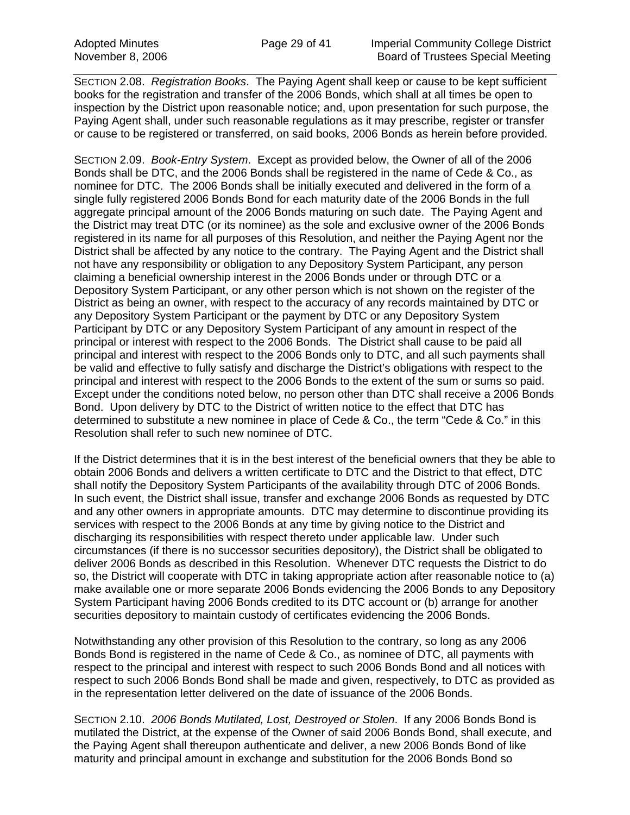SECTION 2.08. *Registration Books*. The Paying Agent shall keep or cause to be kept sufficient books for the registration and transfer of the 2006 Bonds, which shall at all times be open to inspection by the District upon reasonable notice; and, upon presentation for such purpose, the Paying Agent shall, under such reasonable regulations as it may prescribe, register or transfer or cause to be registered or transferred, on said books, 2006 Bonds as herein before provided.

SECTION 2.09. *Book-Entry System*. Except as provided below, the Owner of all of the 2006 Bonds shall be DTC, and the 2006 Bonds shall be registered in the name of Cede & Co., as nominee for DTC. The 2006 Bonds shall be initially executed and delivered in the form of a single fully registered 2006 Bonds Bond for each maturity date of the 2006 Bonds in the full aggregate principal amount of the 2006 Bonds maturing on such date. The Paying Agent and the District may treat DTC (or its nominee) as the sole and exclusive owner of the 2006 Bonds registered in its name for all purposes of this Resolution, and neither the Paying Agent nor the District shall be affected by any notice to the contrary. The Paying Agent and the District shall not have any responsibility or obligation to any Depository System Participant, any person claiming a beneficial ownership interest in the 2006 Bonds under or through DTC or a Depository System Participant, or any other person which is not shown on the register of the District as being an owner, with respect to the accuracy of any records maintained by DTC or any Depository System Participant or the payment by DTC or any Depository System Participant by DTC or any Depository System Participant of any amount in respect of the principal or interest with respect to the 2006 Bonds. The District shall cause to be paid all principal and interest with respect to the 2006 Bonds only to DTC, and all such payments shall be valid and effective to fully satisfy and discharge the District's obligations with respect to the principal and interest with respect to the 2006 Bonds to the extent of the sum or sums so paid. Except under the conditions noted below, no person other than DTC shall receive a 2006 Bonds Bond. Upon delivery by DTC to the District of written notice to the effect that DTC has determined to substitute a new nominee in place of Cede & Co., the term "Cede & Co." in this Resolution shall refer to such new nominee of DTC.

If the District determines that it is in the best interest of the beneficial owners that they be able to obtain 2006 Bonds and delivers a written certificate to DTC and the District to that effect, DTC shall notify the Depository System Participants of the availability through DTC of 2006 Bonds. In such event, the District shall issue, transfer and exchange 2006 Bonds as requested by DTC and any other owners in appropriate amounts. DTC may determine to discontinue providing its services with respect to the 2006 Bonds at any time by giving notice to the District and discharging its responsibilities with respect thereto under applicable law. Under such circumstances (if there is no successor securities depository), the District shall be obligated to deliver 2006 Bonds as described in this Resolution. Whenever DTC requests the District to do so, the District will cooperate with DTC in taking appropriate action after reasonable notice to (a) make available one or more separate 2006 Bonds evidencing the 2006 Bonds to any Depository System Participant having 2006 Bonds credited to its DTC account or (b) arrange for another securities depository to maintain custody of certificates evidencing the 2006 Bonds.

Notwithstanding any other provision of this Resolution to the contrary, so long as any 2006 Bonds Bond is registered in the name of Cede & Co., as nominee of DTC, all payments with respect to the principal and interest with respect to such 2006 Bonds Bond and all notices with respect to such 2006 Bonds Bond shall be made and given, respectively, to DTC as provided as in the representation letter delivered on the date of issuance of the 2006 Bonds.

SECTION 2.10. *2006 Bonds Mutilated, Lost, Destroyed or Stolen*. If any 2006 Bonds Bond is mutilated the District, at the expense of the Owner of said 2006 Bonds Bond, shall execute, and the Paying Agent shall thereupon authenticate and deliver, a new 2006 Bonds Bond of like maturity and principal amount in exchange and substitution for the 2006 Bonds Bond so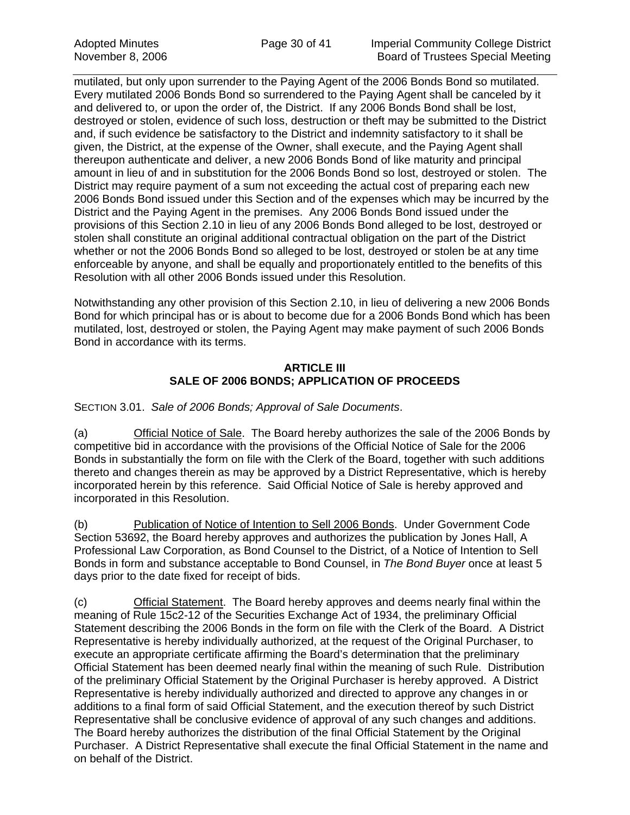mutilated, but only upon surrender to the Paying Agent of the 2006 Bonds Bond so mutilated. Every mutilated 2006 Bonds Bond so surrendered to the Paying Agent shall be canceled by it and delivered to, or upon the order of, the District. If any 2006 Bonds Bond shall be lost, destroyed or stolen, evidence of such loss, destruction or theft may be submitted to the District and, if such evidence be satisfactory to the District and indemnity satisfactory to it shall be given, the District, at the expense of the Owner, shall execute, and the Paying Agent shall thereupon authenticate and deliver, a new 2006 Bonds Bond of like maturity and principal amount in lieu of and in substitution for the 2006 Bonds Bond so lost, destroyed or stolen. The District may require payment of a sum not exceeding the actual cost of preparing each new 2006 Bonds Bond issued under this Section and of the expenses which may be incurred by the District and the Paying Agent in the premises. Any 2006 Bonds Bond issued under the provisions of this Section 2.10 in lieu of any 2006 Bonds Bond alleged to be lost, destroyed or stolen shall constitute an original additional contractual obligation on the part of the District whether or not the 2006 Bonds Bond so alleged to be lost, destroyed or stolen be at any time enforceable by anyone, and shall be equally and proportionately entitled to the benefits of this Resolution with all other 2006 Bonds issued under this Resolution.

Notwithstanding any other provision of this Section 2.10, in lieu of delivering a new 2006 Bonds Bond for which principal has or is about to become due for a 2006 Bonds Bond which has been mutilated, lost, destroyed or stolen, the Paying Agent may make payment of such 2006 Bonds Bond in accordance with its terms.

## **ARTICLE III SALE OF 2006 BONDS; APPLICATION OF PROCEEDS**

## SECTION 3.01. *Sale of 2006 Bonds; Approval of Sale Documents*.

(a) Official Notice of Sale. The Board hereby authorizes the sale of the 2006 Bonds by competitive bid in accordance with the provisions of the Official Notice of Sale for the 2006 Bonds in substantially the form on file with the Clerk of the Board, together with such additions thereto and changes therein as may be approved by a District Representative, which is hereby incorporated herein by this reference. Said Official Notice of Sale is hereby approved and incorporated in this Resolution.

(b) Publication of Notice of Intention to Sell 2006 Bonds. Under Government Code Section 53692, the Board hereby approves and authorizes the publication by Jones Hall, A Professional Law Corporation, as Bond Counsel to the District, of a Notice of Intention to Sell Bonds in form and substance acceptable to Bond Counsel, in *The Bond Buyer* once at least 5 days prior to the date fixed for receipt of bids.

(c) Official Statement. The Board hereby approves and deems nearly final within the meaning of Rule 15c2-12 of the Securities Exchange Act of 1934, the preliminary Official Statement describing the 2006 Bonds in the form on file with the Clerk of the Board. A District Representative is hereby individually authorized, at the request of the Original Purchaser, to execute an appropriate certificate affirming the Board's determination that the preliminary Official Statement has been deemed nearly final within the meaning of such Rule. Distribution of the preliminary Official Statement by the Original Purchaser is hereby approved. A District Representative is hereby individually authorized and directed to approve any changes in or additions to a final form of said Official Statement, and the execution thereof by such District Representative shall be conclusive evidence of approval of any such changes and additions. The Board hereby authorizes the distribution of the final Official Statement by the Original Purchaser. A District Representative shall execute the final Official Statement in the name and on behalf of the District.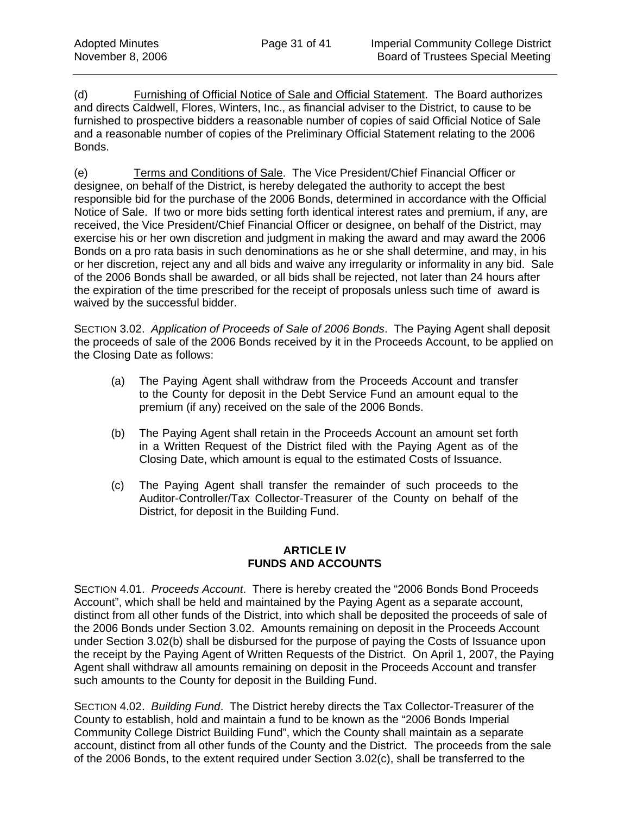(d) Furnishing of Official Notice of Sale and Official Statement. The Board authorizes and directs Caldwell, Flores, Winters, Inc., as financial adviser to the District, to cause to be furnished to prospective bidders a reasonable number of copies of said Official Notice of Sale and a reasonable number of copies of the Preliminary Official Statement relating to the 2006 Bonds.

(e) Terms and Conditions of Sale. The Vice President/Chief Financial Officer or designee, on behalf of the District, is hereby delegated the authority to accept the best responsible bid for the purchase of the 2006 Bonds, determined in accordance with the Official Notice of Sale. If two or more bids setting forth identical interest rates and premium, if any, are received, the Vice President/Chief Financial Officer or designee, on behalf of the District, may exercise his or her own discretion and judgment in making the award and may award the 2006 Bonds on a pro rata basis in such denominations as he or she shall determine, and may, in his or her discretion, reject any and all bids and waive any irregularity or informality in any bid. Sale of the 2006 Bonds shall be awarded, or all bids shall be rejected, not later than 24 hours after the expiration of the time prescribed for the receipt of proposals unless such time of award is waived by the successful bidder.

SECTION 3.02. *Application of Proceeds of Sale of 2006 Bonds*. The Paying Agent shall deposit the proceeds of sale of the 2006 Bonds received by it in the Proceeds Account, to be applied on the Closing Date as follows:

- (a) The Paying Agent shall withdraw from the Proceeds Account and transfer to the County for deposit in the Debt Service Fund an amount equal to the premium (if any) received on the sale of the 2006 Bonds.
- (b) The Paying Agent shall retain in the Proceeds Account an amount set forth in a Written Request of the District filed with the Paying Agent as of the Closing Date, which amount is equal to the estimated Costs of Issuance.
- (c) The Paying Agent shall transfer the remainder of such proceeds to the Auditor-Controller/Tax Collector-Treasurer of the County on behalf of the District, for deposit in the Building Fund.

## **ARTICLE IV FUNDS AND ACCOUNTS**

SECTION 4.01. *Proceeds Account*. There is hereby created the "2006 Bonds Bond Proceeds Account", which shall be held and maintained by the Paying Agent as a separate account, distinct from all other funds of the District, into which shall be deposited the proceeds of sale of the 2006 Bonds under Section 3.02. Amounts remaining on deposit in the Proceeds Account under Section 3.02(b) shall be disbursed for the purpose of paying the Costs of Issuance upon the receipt by the Paying Agent of Written Requests of the District. On April 1, 2007, the Paying Agent shall withdraw all amounts remaining on deposit in the Proceeds Account and transfer such amounts to the County for deposit in the Building Fund.

SECTION 4.02. *Building Fund*. The District hereby directs the Tax Collector-Treasurer of the County to establish, hold and maintain a fund to be known as the "2006 Bonds Imperial Community College District Building Fund", which the County shall maintain as a separate account, distinct from all other funds of the County and the District. The proceeds from the sale of the 2006 Bonds, to the extent required under Section 3.02(c), shall be transferred to the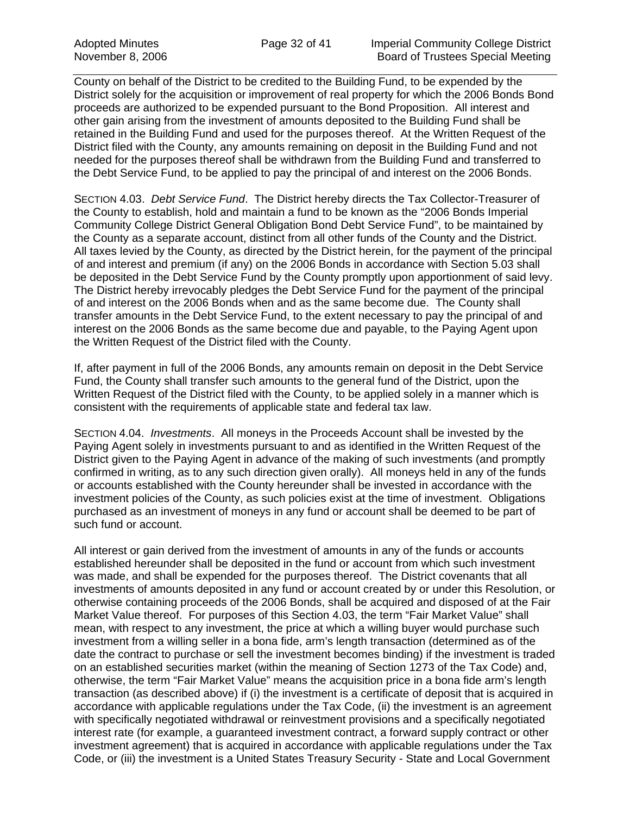County on behalf of the District to be credited to the Building Fund, to be expended by the District solely for the acquisition or improvement of real property for which the 2006 Bonds Bond proceeds are authorized to be expended pursuant to the Bond Proposition. All interest and other gain arising from the investment of amounts deposited to the Building Fund shall be retained in the Building Fund and used for the purposes thereof. At the Written Request of the District filed with the County, any amounts remaining on deposit in the Building Fund and not needed for the purposes thereof shall be withdrawn from the Building Fund and transferred to the Debt Service Fund, to be applied to pay the principal of and interest on the 2006 Bonds.

SECTION 4.03. *Debt Service Fund*. The District hereby directs the Tax Collector-Treasurer of the County to establish, hold and maintain a fund to be known as the "2006 Bonds Imperial Community College District General Obligation Bond Debt Service Fund", to be maintained by the County as a separate account, distinct from all other funds of the County and the District. All taxes levied by the County, as directed by the District herein, for the payment of the principal of and interest and premium (if any) on the 2006 Bonds in accordance with Section 5.03 shall be deposited in the Debt Service Fund by the County promptly upon apportionment of said levy. The District hereby irrevocably pledges the Debt Service Fund for the payment of the principal of and interest on the 2006 Bonds when and as the same become due. The County shall transfer amounts in the Debt Service Fund, to the extent necessary to pay the principal of and interest on the 2006 Bonds as the same become due and payable, to the Paying Agent upon the Written Request of the District filed with the County.

If, after payment in full of the 2006 Bonds, any amounts remain on deposit in the Debt Service Fund, the County shall transfer such amounts to the general fund of the District, upon the Written Request of the District filed with the County, to be applied solely in a manner which is consistent with the requirements of applicable state and federal tax law.

SECTION 4.04. *Investments*. All moneys in the Proceeds Account shall be invested by the Paying Agent solely in investments pursuant to and as identified in the Written Request of the District given to the Paying Agent in advance of the making of such investments (and promptly confirmed in writing, as to any such direction given orally). All moneys held in any of the funds or accounts established with the County hereunder shall be invested in accordance with the investment policies of the County, as such policies exist at the time of investment. Obligations purchased as an investment of moneys in any fund or account shall be deemed to be part of such fund or account.

All interest or gain derived from the investment of amounts in any of the funds or accounts established hereunder shall be deposited in the fund or account from which such investment was made, and shall be expended for the purposes thereof. The District covenants that all investments of amounts deposited in any fund or account created by or under this Resolution, or otherwise containing proceeds of the 2006 Bonds, shall be acquired and disposed of at the Fair Market Value thereof. For purposes of this Section 4.03, the term "Fair Market Value" shall mean, with respect to any investment, the price at which a willing buyer would purchase such investment from a willing seller in a bona fide, arm's length transaction (determined as of the date the contract to purchase or sell the investment becomes binding) if the investment is traded on an established securities market (within the meaning of Section 1273 of the Tax Code) and, otherwise, the term "Fair Market Value" means the acquisition price in a bona fide arm's length transaction (as described above) if (i) the investment is a certificate of deposit that is acquired in accordance with applicable regulations under the Tax Code, (ii) the investment is an agreement with specifically negotiated withdrawal or reinvestment provisions and a specifically negotiated interest rate (for example, a guaranteed investment contract, a forward supply contract or other investment agreement) that is acquired in accordance with applicable regulations under the Tax Code, or (iii) the investment is a United States Treasury Security - State and Local Government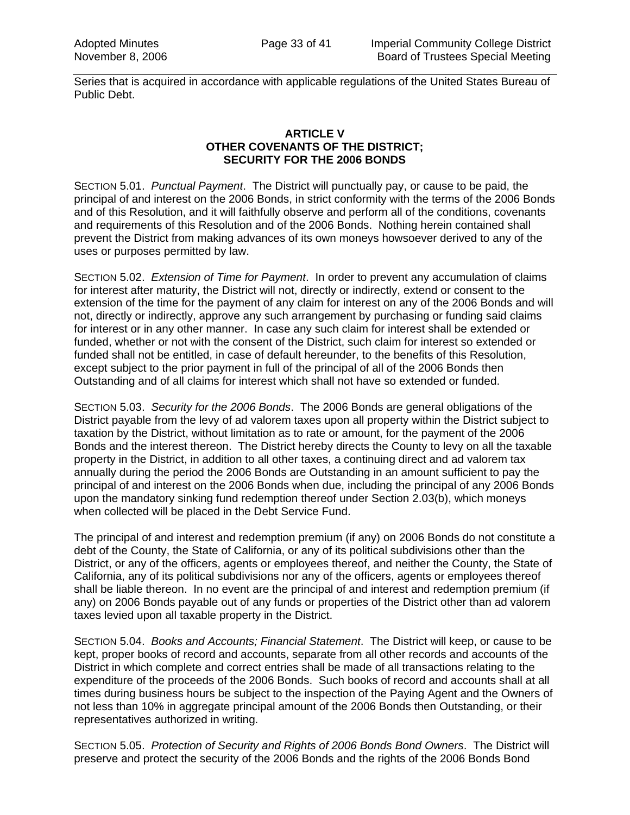Series that is acquired in accordance with applicable regulations of the United States Bureau of Public Debt.

#### **ARTICLE V OTHER COVENANTS OF THE DISTRICT; SECURITY FOR THE 2006 BONDS**

SECTION 5.01. *Punctual Payment*. The District will punctually pay, or cause to be paid, the principal of and interest on the 2006 Bonds, in strict conformity with the terms of the 2006 Bonds and of this Resolution, and it will faithfully observe and perform all of the conditions, covenants and requirements of this Resolution and of the 2006 Bonds. Nothing herein contained shall prevent the District from making advances of its own moneys howsoever derived to any of the uses or purposes permitted by law.

SECTION 5.02. *Extension of Time for Payment*. In order to prevent any accumulation of claims for interest after maturity, the District will not, directly or indirectly, extend or consent to the extension of the time for the payment of any claim for interest on any of the 2006 Bonds and will not, directly or indirectly, approve any such arrangement by purchasing or funding said claims for interest or in any other manner. In case any such claim for interest shall be extended or funded, whether or not with the consent of the District, such claim for interest so extended or funded shall not be entitled, in case of default hereunder, to the benefits of this Resolution, except subject to the prior payment in full of the principal of all of the 2006 Bonds then Outstanding and of all claims for interest which shall not have so extended or funded.

SECTION 5.03. *Security for the 2006 Bonds*. The 2006 Bonds are general obligations of the District payable from the levy of ad valorem taxes upon all property within the District subject to taxation by the District, without limitation as to rate or amount, for the payment of the 2006 Bonds and the interest thereon. The District hereby directs the County to levy on all the taxable property in the District, in addition to all other taxes, a continuing direct and ad valorem tax annually during the period the 2006 Bonds are Outstanding in an amount sufficient to pay the principal of and interest on the 2006 Bonds when due, including the principal of any 2006 Bonds upon the mandatory sinking fund redemption thereof under Section 2.03(b), which moneys when collected will be placed in the Debt Service Fund.

The principal of and interest and redemption premium (if any) on 2006 Bonds do not constitute a debt of the County, the State of California, or any of its political subdivisions other than the District, or any of the officers, agents or employees thereof, and neither the County, the State of California, any of its political subdivisions nor any of the officers, agents or employees thereof shall be liable thereon. In no event are the principal of and interest and redemption premium (if any) on 2006 Bonds payable out of any funds or properties of the District other than ad valorem taxes levied upon all taxable property in the District.

SECTION 5.04. *Books and Accounts; Financial Statement*. The District will keep, or cause to be kept, proper books of record and accounts, separate from all other records and accounts of the District in which complete and correct entries shall be made of all transactions relating to the expenditure of the proceeds of the 2006 Bonds. Such books of record and accounts shall at all times during business hours be subject to the inspection of the Paying Agent and the Owners of not less than 10% in aggregate principal amount of the 2006 Bonds then Outstanding, or their representatives authorized in writing.

SECTION 5.05. *Protection of Security and Rights of 2006 Bonds Bond Owners*. The District will preserve and protect the security of the 2006 Bonds and the rights of the 2006 Bonds Bond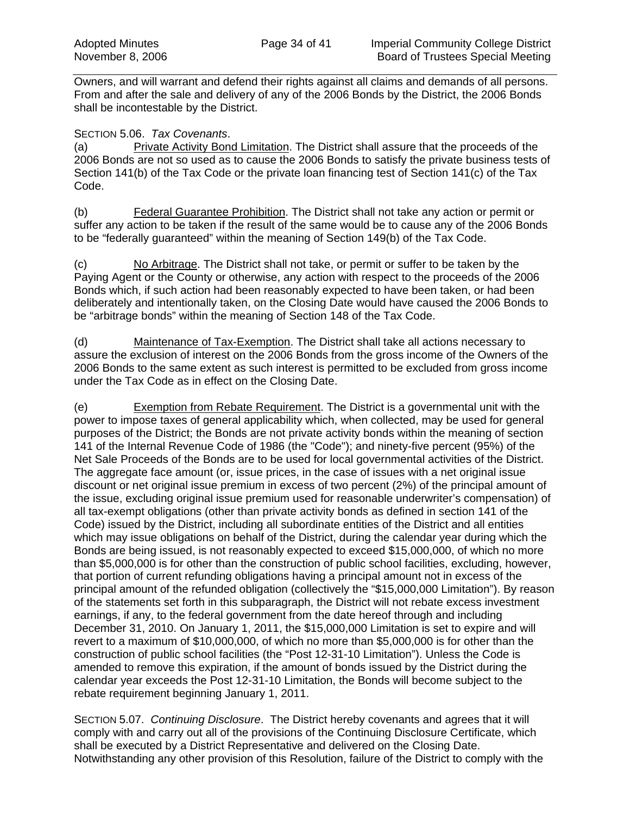Owners, and will warrant and defend their rights against all claims and demands of all persons. From and after the sale and delivery of any of the 2006 Bonds by the District, the 2006 Bonds shall be incontestable by the District.

#### SECTION 5.06. *Tax Covenants*.

(a) Private Activity Bond Limitation. The District shall assure that the proceeds of the 2006 Bonds are not so used as to cause the 2006 Bonds to satisfy the private business tests of Section 141(b) of the Tax Code or the private loan financing test of Section 141(c) of the Tax Code.

(b) Federal Guarantee Prohibition. The District shall not take any action or permit or suffer any action to be taken if the result of the same would be to cause any of the 2006 Bonds to be "federally guaranteed" within the meaning of Section 149(b) of the Tax Code.

(c) No Arbitrage. The District shall not take, or permit or suffer to be taken by the Paying Agent or the County or otherwise, any action with respect to the proceeds of the 2006 Bonds which, if such action had been reasonably expected to have been taken, or had been deliberately and intentionally taken, on the Closing Date would have caused the 2006 Bonds to be "arbitrage bonds" within the meaning of Section 148 of the Tax Code.

(d) Maintenance of Tax-Exemption. The District shall take all actions necessary to assure the exclusion of interest on the 2006 Bonds from the gross income of the Owners of the 2006 Bonds to the same extent as such interest is permitted to be excluded from gross income under the Tax Code as in effect on the Closing Date.

(e) Exemption from Rebate Requirement. The District is a governmental unit with the power to impose taxes of general applicability which, when collected, may be used for general purposes of the District; the Bonds are not private activity bonds within the meaning of section 141 of the Internal Revenue Code of 1986 (the "Code"); and ninety-five percent (95%) of the Net Sale Proceeds of the Bonds are to be used for local governmental activities of the District. The aggregate face amount (or, issue prices, in the case of issues with a net original issue discount or net original issue premium in excess of two percent (2%) of the principal amount of the issue, excluding original issue premium used for reasonable underwriter's compensation) of all tax-exempt obligations (other than private activity bonds as defined in section 141 of the Code) issued by the District, including all subordinate entities of the District and all entities which may issue obligations on behalf of the District, during the calendar year during which the Bonds are being issued, is not reasonably expected to exceed \$15,000,000, of which no more than \$5,000,000 is for other than the construction of public school facilities, excluding, however, that portion of current refunding obligations having a principal amount not in excess of the principal amount of the refunded obligation (collectively the "\$15,000,000 Limitation"). By reason of the statements set forth in this subparagraph, the District will not rebate excess investment earnings, if any, to the federal government from the date hereof through and including December 31, 2010. On January 1, 2011, the \$15,000,000 Limitation is set to expire and will revert to a maximum of \$10,000,000, of which no more than \$5,000,000 is for other than the construction of public school facilities (the "Post 12-31-10 Limitation"). Unless the Code is amended to remove this expiration, if the amount of bonds issued by the District during the calendar year exceeds the Post 12-31-10 Limitation, the Bonds will become subject to the rebate requirement beginning January 1, 2011.

SECTION 5.07. *Continuing Disclosure*. The District hereby covenants and agrees that it will comply with and carry out all of the provisions of the Continuing Disclosure Certificate, which shall be executed by a District Representative and delivered on the Closing Date. Notwithstanding any other provision of this Resolution, failure of the District to comply with the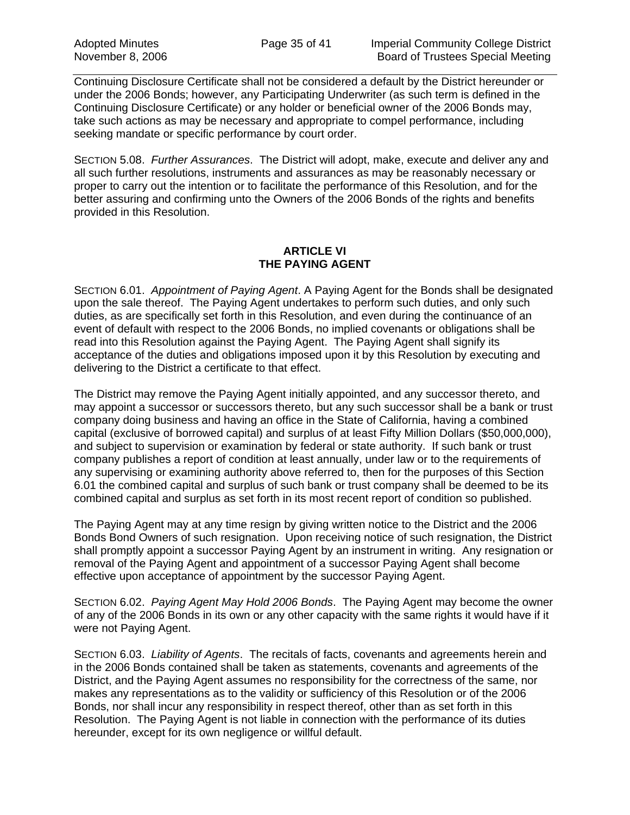Continuing Disclosure Certificate shall not be considered a default by the District hereunder or under the 2006 Bonds; however, any Participating Underwriter (as such term is defined in the Continuing Disclosure Certificate) or any holder or beneficial owner of the 2006 Bonds may, take such actions as may be necessary and appropriate to compel performance, including seeking mandate or specific performance by court order.

SECTION 5.08. *Further Assurances*. The District will adopt, make, execute and deliver any and all such further resolutions, instruments and assurances as may be reasonably necessary or proper to carry out the intention or to facilitate the performance of this Resolution, and for the better assuring and confirming unto the Owners of the 2006 Bonds of the rights and benefits provided in this Resolution.

#### **ARTICLE VI THE PAYING AGENT**

SECTION 6.01. *Appointment of Paying Agent*. A Paying Agent for the Bonds shall be designated upon the sale thereof. The Paying Agent undertakes to perform such duties, and only such duties, as are specifically set forth in this Resolution, and even during the continuance of an event of default with respect to the 2006 Bonds, no implied covenants or obligations shall be read into this Resolution against the Paying Agent. The Paying Agent shall signify its acceptance of the duties and obligations imposed upon it by this Resolution by executing and delivering to the District a certificate to that effect.

The District may remove the Paying Agent initially appointed, and any successor thereto, and may appoint a successor or successors thereto, but any such successor shall be a bank or trust company doing business and having an office in the State of California, having a combined capital (exclusive of borrowed capital) and surplus of at least Fifty Million Dollars (\$50,000,000), and subject to supervision or examination by federal or state authority. If such bank or trust company publishes a report of condition at least annually, under law or to the requirements of any supervising or examining authority above referred to, then for the purposes of this Section 6.01 the combined capital and surplus of such bank or trust company shall be deemed to be its combined capital and surplus as set forth in its most recent report of condition so published.

The Paying Agent may at any time resign by giving written notice to the District and the 2006 Bonds Bond Owners of such resignation. Upon receiving notice of such resignation, the District shall promptly appoint a successor Paying Agent by an instrument in writing. Any resignation or removal of the Paying Agent and appointment of a successor Paying Agent shall become effective upon acceptance of appointment by the successor Paying Agent.

SECTION 6.02. *Paying Agent May Hold 2006 Bonds*. The Paying Agent may become the owner of any of the 2006 Bonds in its own or any other capacity with the same rights it would have if it were not Paying Agent.

SECTION 6.03. *Liability of Agents*. The recitals of facts, covenants and agreements herein and in the 2006 Bonds contained shall be taken as statements, covenants and agreements of the District, and the Paying Agent assumes no responsibility for the correctness of the same, nor makes any representations as to the validity or sufficiency of this Resolution or of the 2006 Bonds, nor shall incur any responsibility in respect thereof, other than as set forth in this Resolution. The Paying Agent is not liable in connection with the performance of its duties hereunder, except for its own negligence or willful default.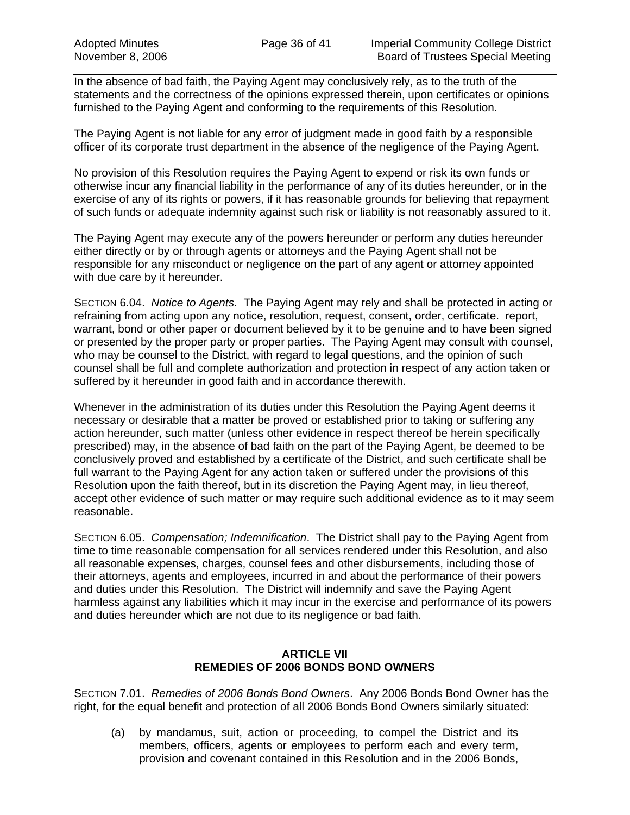In the absence of bad faith, the Paying Agent may conclusively rely, as to the truth of the statements and the correctness of the opinions expressed therein, upon certificates or opinions furnished to the Paying Agent and conforming to the requirements of this Resolution.

The Paying Agent is not liable for any error of judgment made in good faith by a responsible officer of its corporate trust department in the absence of the negligence of the Paying Agent.

No provision of this Resolution requires the Paying Agent to expend or risk its own funds or otherwise incur any financial liability in the performance of any of its duties hereunder, or in the exercise of any of its rights or powers, if it has reasonable grounds for believing that repayment of such funds or adequate indemnity against such risk or liability is not reasonably assured to it.

The Paying Agent may execute any of the powers hereunder or perform any duties hereunder either directly or by or through agents or attorneys and the Paying Agent shall not be responsible for any misconduct or negligence on the part of any agent or attorney appointed with due care by it hereunder.

SECTION 6.04. *Notice to Agents*. The Paying Agent may rely and shall be protected in acting or refraining from acting upon any notice, resolution, request, consent, order, certificate. report, warrant, bond or other paper or document believed by it to be genuine and to have been signed or presented by the proper party or proper parties. The Paying Agent may consult with counsel, who may be counsel to the District, with regard to legal questions, and the opinion of such counsel shall be full and complete authorization and protection in respect of any action taken or suffered by it hereunder in good faith and in accordance therewith.

Whenever in the administration of its duties under this Resolution the Paying Agent deems it necessary or desirable that a matter be proved or established prior to taking or suffering any action hereunder, such matter (unless other evidence in respect thereof be herein specifically prescribed) may, in the absence of bad faith on the part of the Paying Agent, be deemed to be conclusively proved and established by a certificate of the District, and such certificate shall be full warrant to the Paying Agent for any action taken or suffered under the provisions of this Resolution upon the faith thereof, but in its discretion the Paying Agent may, in lieu thereof, accept other evidence of such matter or may require such additional evidence as to it may seem reasonable.

SECTION 6.05. *Compensation; Indemnification*. The District shall pay to the Paying Agent from time to time reasonable compensation for all services rendered under this Resolution, and also all reasonable expenses, charges, counsel fees and other disbursements, including those of their attorneys, agents and employees, incurred in and about the performance of their powers and duties under this Resolution. The District will indemnify and save the Paying Agent harmless against any liabilities which it may incur in the exercise and performance of its powers and duties hereunder which are not due to its negligence or bad faith.

#### **ARTICLE VII REMEDIES OF 2006 BONDS BOND OWNERS**

SECTION 7.01. *Remedies of 2006 Bonds Bond Owners*. Any 2006 Bonds Bond Owner has the right, for the equal benefit and protection of all 2006 Bonds Bond Owners similarly situated:

(a) by mandamus, suit, action or proceeding, to compel the District and its members, officers, agents or employees to perform each and every term, provision and covenant contained in this Resolution and in the 2006 Bonds,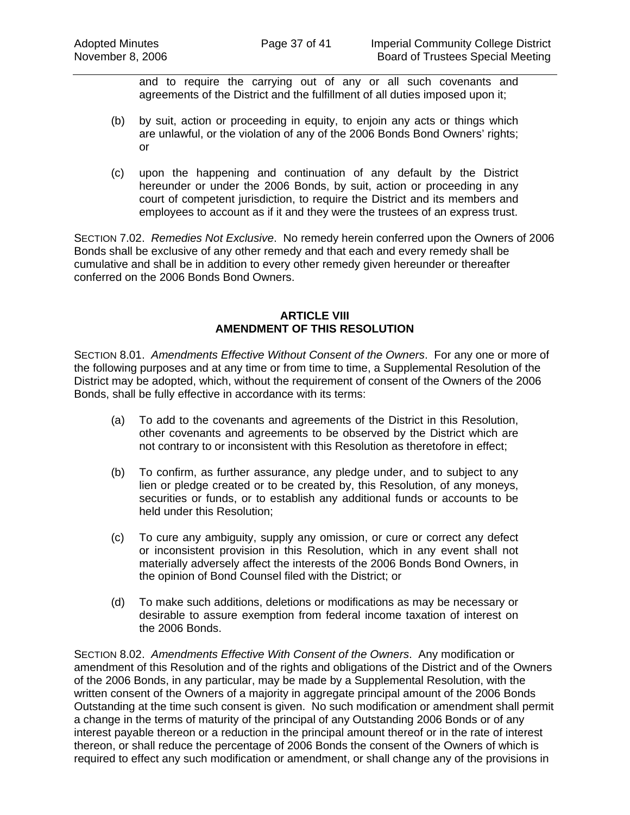and to require the carrying out of any or all such covenants and agreements of the District and the fulfillment of all duties imposed upon it;

- (b) by suit, action or proceeding in equity, to enjoin any acts or things which are unlawful, or the violation of any of the 2006 Bonds Bond Owners' rights; or
- (c) upon the happening and continuation of any default by the District hereunder or under the 2006 Bonds, by suit, action or proceeding in any court of competent jurisdiction, to require the District and its members and employees to account as if it and they were the trustees of an express trust.

SECTION 7.02. *Remedies Not Exclusive*. No remedy herein conferred upon the Owners of 2006 Bonds shall be exclusive of any other remedy and that each and every remedy shall be cumulative and shall be in addition to every other remedy given hereunder or thereafter conferred on the 2006 Bonds Bond Owners.

#### **ARTICLE VIII AMENDMENT OF THIS RESOLUTION**

SECTION 8.01. *Amendments Effective Without Consent of the Owners*. For any one or more of the following purposes and at any time or from time to time, a Supplemental Resolution of the District may be adopted, which, without the requirement of consent of the Owners of the 2006 Bonds, shall be fully effective in accordance with its terms:

- (a) To add to the covenants and agreements of the District in this Resolution, other covenants and agreements to be observed by the District which are not contrary to or inconsistent with this Resolution as theretofore in effect;
- (b) To confirm, as further assurance, any pledge under, and to subject to any lien or pledge created or to be created by, this Resolution, of any moneys, securities or funds, or to establish any additional funds or accounts to be held under this Resolution;
- (c) To cure any ambiguity, supply any omission, or cure or correct any defect or inconsistent provision in this Resolution, which in any event shall not materially adversely affect the interests of the 2006 Bonds Bond Owners, in the opinion of Bond Counsel filed with the District; or
- (d) To make such additions, deletions or modifications as may be necessary or desirable to assure exemption from federal income taxation of interest on the 2006 Bonds.

SECTION 8.02. *Amendments Effective With Consent of the Owners*. Any modification or amendment of this Resolution and of the rights and obligations of the District and of the Owners of the 2006 Bonds, in any particular, may be made by a Supplemental Resolution, with the written consent of the Owners of a majority in aggregate principal amount of the 2006 Bonds Outstanding at the time such consent is given. No such modification or amendment shall permit a change in the terms of maturity of the principal of any Outstanding 2006 Bonds or of any interest payable thereon or a reduction in the principal amount thereof or in the rate of interest thereon, or shall reduce the percentage of 2006 Bonds the consent of the Owners of which is required to effect any such modification or amendment, or shall change any of the provisions in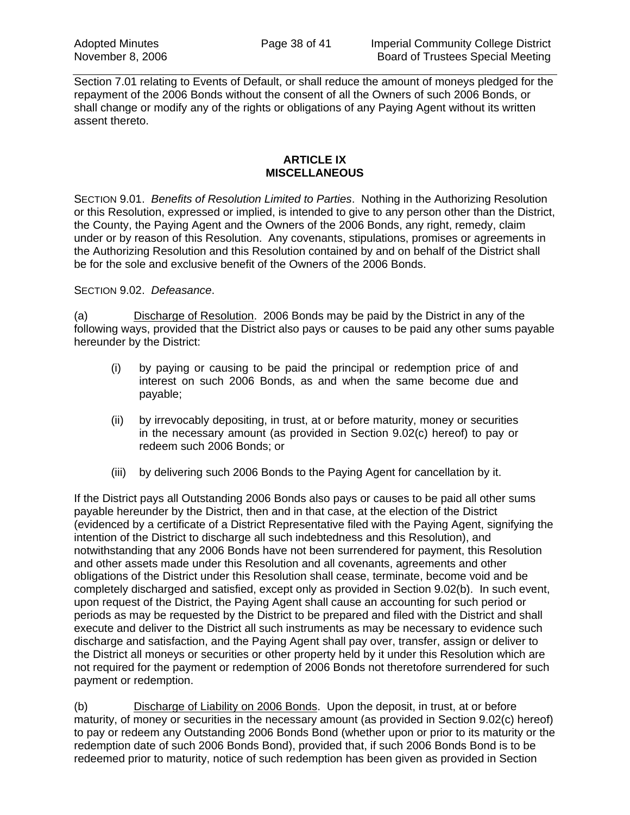Section 7.01 relating to Events of Default, or shall reduce the amount of moneys pledged for the repayment of the 2006 Bonds without the consent of all the Owners of such 2006 Bonds, or shall change or modify any of the rights or obligations of any Paying Agent without its written assent thereto.

#### **ARTICLE IX MISCELLANEOUS**

SECTION 9.01. *Benefits of Resolution Limited to Parties*. Nothing in the Authorizing Resolution or this Resolution, expressed or implied, is intended to give to any person other than the District, the County, the Paying Agent and the Owners of the 2006 Bonds, any right, remedy, claim under or by reason of this Resolution. Any covenants, stipulations, promises or agreements in the Authorizing Resolution and this Resolution contained by and on behalf of the District shall be for the sole and exclusive benefit of the Owners of the 2006 Bonds.

#### SECTION 9.02. *Defeasance*.

(a) Discharge of Resolution. 2006 Bonds may be paid by the District in any of the following ways, provided that the District also pays or causes to be paid any other sums payable hereunder by the District:

- (i) by paying or causing to be paid the principal or redemption price of and interest on such 2006 Bonds, as and when the same become due and payable;
- (ii) by irrevocably depositing, in trust, at or before maturity, money or securities in the necessary amount (as provided in Section 9.02(c) hereof) to pay or redeem such 2006 Bonds; or
- (iii) by delivering such 2006 Bonds to the Paying Agent for cancellation by it.

If the District pays all Outstanding 2006 Bonds also pays or causes to be paid all other sums payable hereunder by the District, then and in that case, at the election of the District (evidenced by a certificate of a District Representative filed with the Paying Agent, signifying the intention of the District to discharge all such indebtedness and this Resolution), and notwithstanding that any 2006 Bonds have not been surrendered for payment, this Resolution and other assets made under this Resolution and all covenants, agreements and other obligations of the District under this Resolution shall cease, terminate, become void and be completely discharged and satisfied, except only as provided in Section 9.02(b). In such event, upon request of the District, the Paying Agent shall cause an accounting for such period or periods as may be requested by the District to be prepared and filed with the District and shall execute and deliver to the District all such instruments as may be necessary to evidence such discharge and satisfaction, and the Paying Agent shall pay over, transfer, assign or deliver to the District all moneys or securities or other property held by it under this Resolution which are not required for the payment or redemption of 2006 Bonds not theretofore surrendered for such payment or redemption.

(b) Discharge of Liability on 2006 Bonds. Upon the deposit, in trust, at or before maturity, of money or securities in the necessary amount (as provided in Section 9.02(c) hereof) to pay or redeem any Outstanding 2006 Bonds Bond (whether upon or prior to its maturity or the redemption date of such 2006 Bonds Bond), provided that, if such 2006 Bonds Bond is to be redeemed prior to maturity, notice of such redemption has been given as provided in Section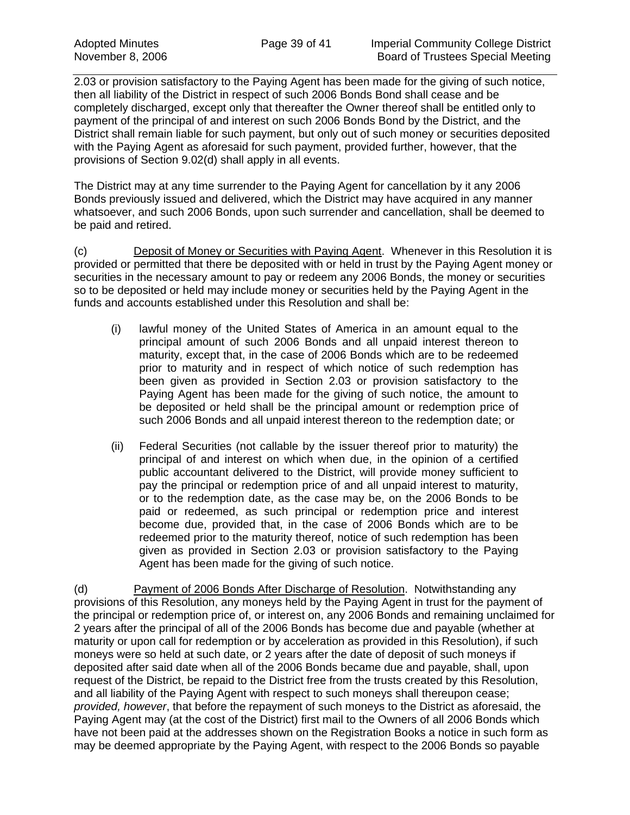2.03 or provision satisfactory to the Paying Agent has been made for the giving of such notice, then all liability of the District in respect of such 2006 Bonds Bond shall cease and be completely discharged, except only that thereafter the Owner thereof shall be entitled only to payment of the principal of and interest on such 2006 Bonds Bond by the District, and the District shall remain liable for such payment, but only out of such money or securities deposited with the Paying Agent as aforesaid for such payment, provided further, however, that the provisions of Section 9.02(d) shall apply in all events.

The District may at any time surrender to the Paying Agent for cancellation by it any 2006 Bonds previously issued and delivered, which the District may have acquired in any manner whatsoever, and such 2006 Bonds, upon such surrender and cancellation, shall be deemed to be paid and retired.

(c) Deposit of Money or Securities with Paying Agent. Whenever in this Resolution it is provided or permitted that there be deposited with or held in trust by the Paying Agent money or securities in the necessary amount to pay or redeem any 2006 Bonds, the money or securities so to be deposited or held may include money or securities held by the Paying Agent in the funds and accounts established under this Resolution and shall be:

- (i) lawful money of the United States of America in an amount equal to the principal amount of such 2006 Bonds and all unpaid interest thereon to maturity, except that, in the case of 2006 Bonds which are to be redeemed prior to maturity and in respect of which notice of such redemption has been given as provided in Section 2.03 or provision satisfactory to the Paying Agent has been made for the giving of such notice, the amount to be deposited or held shall be the principal amount or redemption price of such 2006 Bonds and all unpaid interest thereon to the redemption date; or
- (ii) Federal Securities (not callable by the issuer thereof prior to maturity) the principal of and interest on which when due, in the opinion of a certified public accountant delivered to the District, will provide money sufficient to pay the principal or redemption price of and all unpaid interest to maturity, or to the redemption date, as the case may be, on the 2006 Bonds to be paid or redeemed, as such principal or redemption price and interest become due, provided that, in the case of 2006 Bonds which are to be redeemed prior to the maturity thereof, notice of such redemption has been given as provided in Section 2.03 or provision satisfactory to the Paying Agent has been made for the giving of such notice.

(d) Payment of 2006 Bonds After Discharge of Resolution. Notwithstanding any provisions of this Resolution, any moneys held by the Paying Agent in trust for the payment of the principal or redemption price of, or interest on, any 2006 Bonds and remaining unclaimed for 2 years after the principal of all of the 2006 Bonds has become due and payable (whether at maturity or upon call for redemption or by acceleration as provided in this Resolution), if such moneys were so held at such date, or 2 years after the date of deposit of such moneys if deposited after said date when all of the 2006 Bonds became due and payable, shall, upon request of the District, be repaid to the District free from the trusts created by this Resolution, and all liability of the Paying Agent with respect to such moneys shall thereupon cease; *provided, however*, that before the repayment of such moneys to the District as aforesaid, the Paying Agent may (at the cost of the District) first mail to the Owners of all 2006 Bonds which have not been paid at the addresses shown on the Registration Books a notice in such form as may be deemed appropriate by the Paying Agent, with respect to the 2006 Bonds so payable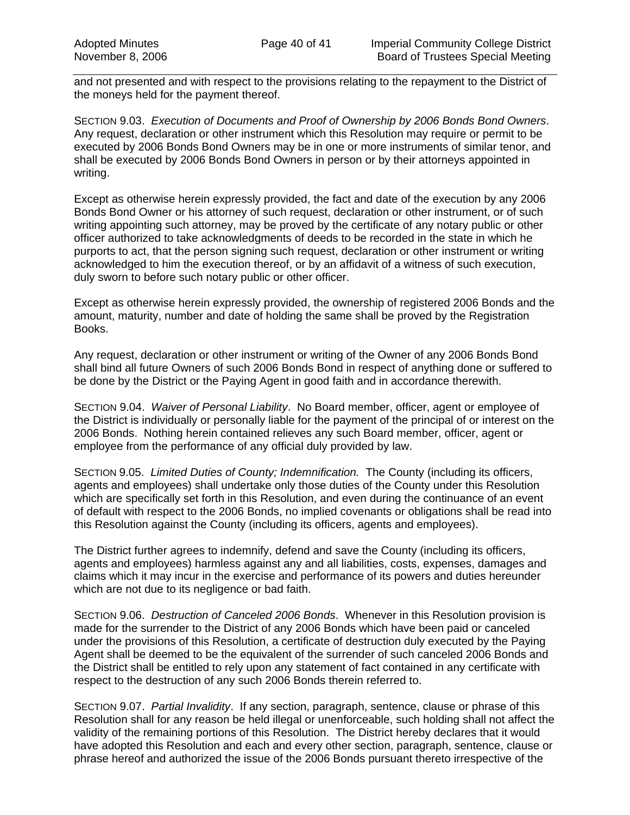and not presented and with respect to the provisions relating to the repayment to the District of the moneys held for the payment thereof.

SECTION 9.03. *Execution of Documents and Proof of Ownership by 2006 Bonds Bond Owners*. Any request, declaration or other instrument which this Resolution may require or permit to be executed by 2006 Bonds Bond Owners may be in one or more instruments of similar tenor, and shall be executed by 2006 Bonds Bond Owners in person or by their attorneys appointed in writing.

Except as otherwise herein expressly provided, the fact and date of the execution by any 2006 Bonds Bond Owner or his attorney of such request, declaration or other instrument, or of such writing appointing such attorney, may be proved by the certificate of any notary public or other officer authorized to take acknowledgments of deeds to be recorded in the state in which he purports to act, that the person signing such request, declaration or other instrument or writing acknowledged to him the execution thereof, or by an affidavit of a witness of such execution, duly sworn to before such notary public or other officer.

Except as otherwise herein expressly provided, the ownership of registered 2006 Bonds and the amount, maturity, number and date of holding the same shall be proved by the Registration Books.

Any request, declaration or other instrument or writing of the Owner of any 2006 Bonds Bond shall bind all future Owners of such 2006 Bonds Bond in respect of anything done or suffered to be done by the District or the Paying Agent in good faith and in accordance therewith.

SECTION 9.04. *Waiver of Personal Liability*. No Board member, officer, agent or employee of the District is individually or personally liable for the payment of the principal of or interest on the 2006 Bonds. Nothing herein contained relieves any such Board member, officer, agent or employee from the performance of any official duly provided by law.

SECTION 9.05. *Limited Duties of County; Indemnification.* The County (including its officers, agents and employees) shall undertake only those duties of the County under this Resolution which are specifically set forth in this Resolution, and even during the continuance of an event of default with respect to the 2006 Bonds, no implied covenants or obligations shall be read into this Resolution against the County (including its officers, agents and employees).

The District further agrees to indemnify, defend and save the County (including its officers, agents and employees) harmless against any and all liabilities, costs, expenses, damages and claims which it may incur in the exercise and performance of its powers and duties hereunder which are not due to its negligence or bad faith.

SECTION 9.06. *Destruction of Canceled 2006 Bonds*. Whenever in this Resolution provision is made for the surrender to the District of any 2006 Bonds which have been paid or canceled under the provisions of this Resolution, a certificate of destruction duly executed by the Paying Agent shall be deemed to be the equivalent of the surrender of such canceled 2006 Bonds and the District shall be entitled to rely upon any statement of fact contained in any certificate with respect to the destruction of any such 2006 Bonds therein referred to.

SECTION 9.07. *Partial Invalidity*. If any section, paragraph, sentence, clause or phrase of this Resolution shall for any reason be held illegal or unenforceable, such holding shall not affect the validity of the remaining portions of this Resolution. The District hereby declares that it would have adopted this Resolution and each and every other section, paragraph, sentence, clause or phrase hereof and authorized the issue of the 2006 Bonds pursuant thereto irrespective of the